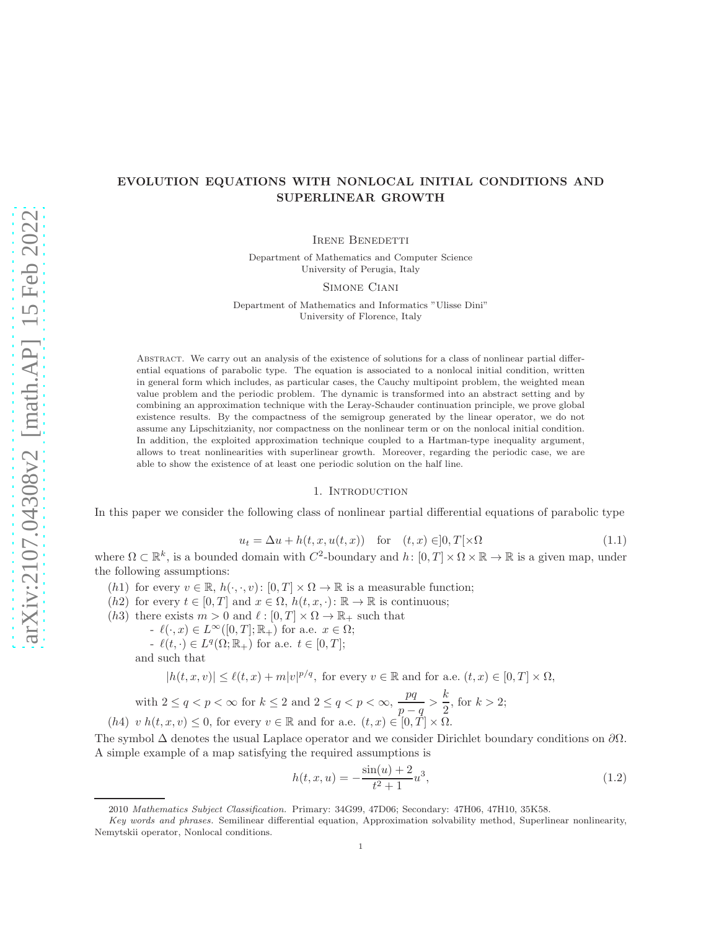# EVOLUTION EQUATIONS WITH NONLOCAL INITIAL CONDITIONS AND SUPERLINEAR GROWTH

IRENE BENEDETTI

Department of Mathematics and Computer Science University of Perugia, Italy

Simone Ciani

Department of Mathematics and Informatics "Ulisse Dini" University of Florence, Italy

Abstract. We carry out an analysis of the existence of solutions for a class of nonlinear partial differential equations of parabolic type. The equation is associated to a nonlocal initial condition, written in general form which includes, as particular cases, the Cauchy multipoint problem, the weighted mean value problem and the periodic problem. The dynamic is transformed into an abstract setting and by combining an approximation technique with the Leray-Schauder continuation principle, we prove global existence results. By the compactness of the semigroup generated by the linear operator, we do not assume any Lipschitzianity, nor compactness on the nonlinear term or on the nonlocal initial condition. In addition, the exploited approximation technique coupled to a Hartman-type inequality argument, allows to treat nonlinearities with superlinear growth. Moreover, regarding the periodic case, we are able to show the existence of at least one periodic solution on the half line.

# 1. INTRODUCTION

In this paper we consider the following class of nonlinear partial differential equations of parabolic type

<span id="page-0-0"></span>
$$
u_t = \Delta u + h(t, x, u(t, x)) \quad \text{for} \quad (t, x) \in ]0, T[ \times \Omega \tag{1.1}
$$

where  $\Omega \subset \mathbb{R}^k$ , is a bounded domain with  $C^2$ -boundary and  $h: [0, T] \times \Omega \times \mathbb{R} \to \mathbb{R}$  is a given map, under the following assumptions:

- (h1) for every  $v \in \mathbb{R}$ ,  $h(\cdot, \cdot, v)$ :  $[0, T] \times \Omega \to \mathbb{R}$  is a measurable function;
- (h2) for every  $t \in [0, T]$  and  $x \in \Omega$ ,  $h(t, x, \cdot) : \mathbb{R} \to \mathbb{R}$  is continuous;
- (h3) there exists  $m > 0$  and  $\ell : [0, T] \times \Omega \to \mathbb{R}_+$  such that
	- $-\ell(\cdot, x) \in L^{\infty}([0, T]; \mathbb{R}_{+})$  for a.e.  $x \in \Omega$ ;
	- $\ell(t, \cdot) \in L^q(\Omega; \mathbb{R}_+)$  for a.e.  $t \in [0, T];$ and such that

$$
|h(t, x, v)| \le \ell(t, x) + m|v|^{p/q},
$$
 for every  $v \in \mathbb{R}$  and for a.e.  $(t, x) \in [0, T] \times \Omega$ ,

with 
$$
2 \leq q < p < \infty
$$
 for  $k \leq 2$  and  $2 \leq q < p < \infty$ ,  $\frac{pq}{p-q} > \frac{k}{2}$ , for  $k > 2$ ;  $(h4)$   $v \ h(t, x, v) \leq 0$ , for every  $v \in \mathbb{R}$  and for a.e.  $(t, x) \in [0, T] \times \Omega$ .

The symbol  $\Delta$  denotes the usual Laplace operator and we consider Dirichlet boundary conditions on  $\partial\Omega$ . A simple example of a map satisfying the required assumptions is

$$
h(t, x, u) = -\frac{\sin(u) + 2}{t^2 + 1}u^3,
$$
\n(1.2)

<sup>2010</sup> Mathematics Subject Classification. Primary: 34G99, 47D06; Secondary: 47H06, 47H10, 35K58.

Key words and phrases. Semilinear differential equation, Approximation solvability method, Superlinear nonlinearity, Nemytskii operator, Nonlocal conditions.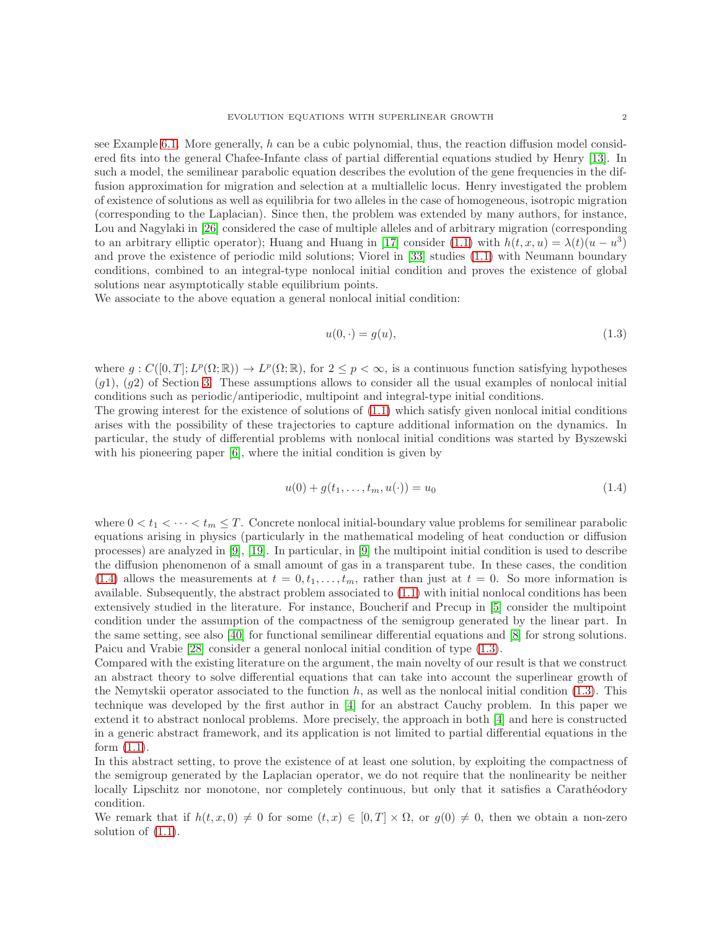see Example [6.1.](#page-16-0) More generally, h can be a cubic polynomial, thus, the reaction diffusion model considered fits into the general Chafee-Infante class of partial differential equations studied by Henry [\[13\]](#page-19-0). In such a model, the semilinear parabolic equation describes the evolution of the gene frequencies in the diffusion approximation for migration and selection at a multiallelic locus. Henry investigated the problem of existence of solutions as well as equilibria for two alleles in the case of homogeneous, isotropic migration (corresponding to the Laplacian). Since then, the problem was extended by many authors, for instance, Lou and Nagylaki in [\[26\]](#page-20-0) considered the case of multiple alleles and of arbitrary migration (corresponding to an arbitrary elliptic operator); Huang and Huang in [\[17\]](#page-19-1) consider [\(1.1\)](#page-0-0) with  $h(t, x, u) = \lambda(t)(u - u^3)$ and prove the existence of periodic mild solutions; Viorel in [\[33\]](#page-20-1) studies [\(1.1\)](#page-0-0) with Neumann boundary conditions, combined to an integral-type nonlocal initial condition and proves the existence of global solutions near asymptotically stable equilibrium points.

We associate to the above equation a general nonlocal initial condition:

<span id="page-1-1"></span>
$$
u(0, \cdot) = g(u),\tag{1.3}
$$

where  $g: C([0,T]; L^p(\Omega;\mathbb{R})) \to L^p(\Omega;\mathbb{R})$ , for  $2 \leq p < \infty$ , is a continuous function satisfying hypotheses  $(q1)$ ,  $(q2)$  of Section [3.](#page-5-0) These assumptions allows to consider all the usual examples of nonlocal initial conditions such as periodic/antiperiodic, multipoint and integral-type initial conditions.

The growing interest for the existence of solutions of [\(1.1\)](#page-0-0) which satisfy given nonlocal initial conditions arises with the possibility of these trajectories to capture additional information on the dynamics. In particular, the study of differential problems with nonlocal initial conditions was started by Byszewski with his pioneering paper [\[6\]](#page-19-2), where the initial condition is given by

<span id="page-1-0"></span>
$$
u(0) + g(t_1, \dots, t_m, u(\cdot)) = u_0 \tag{1.4}
$$

where  $0 < t_1 < \cdots < t_m \leq T$ . Concrete nonlocal initial-boundary value problems for semilinear parabolic equations arising in physics (particularly in the mathematical modeling of heat conduction or diffusion processes) are analyzed in [\[9\]](#page-19-3), [\[19\]](#page-19-4). In particular, in [\[9\]](#page-19-3) the multipoint initial condition is used to describe the diffusion phenomenon of a small amount of gas in a transparent tube. In these cases, the condition [\(1.4\)](#page-1-0) allows the measurements at  $t = 0, t_1, \ldots, t_m$ , rather than just at  $t = 0$ . So more information is available. Subsequently, the abstract problem associated to [\(1.1\)](#page-0-0) with initial nonlocal conditions has been extensively studied in the literature. For instance, Boucherif and Precup in [\[5\]](#page-19-5) consider the multipoint condition under the assumption of the compactness of the semigroup generated by the linear part. In the same setting, see also [\[40\]](#page-20-2) for functional semilinear differential equations and [\[8\]](#page-19-6) for strong solutions. Paicu and Vrabie [\[28\]](#page-20-3) consider a general nonlocal initial condition of type [\(1.3\)](#page-1-1).

Compared with the existing literature on the argument, the main novelty of our result is that we construct an abstract theory to solve differential equations that can take into account the superlinear growth of the Nemytskii operator associated to the function  $h$ , as well as the nonlocal initial condition [\(1.3\)](#page-1-1). This technique was developed by the first author in [\[4\]](#page-19-7) for an abstract Cauchy problem. In this paper we extend it to abstract nonlocal problems. More precisely, the approach in both [\[4\]](#page-19-7) and here is constructed in a generic abstract framework, and its application is not limited to partial differential equations in the form  $(1.1)$ .

In this abstract setting, to prove the existence of at least one solution, by exploiting the compactness of the semigroup generated by the Laplacian operator, we do not require that the nonlinearity be neither locally Lipschitz nor monotone, nor completely continuous, but only that it satisfies a Carathéodory condition.

We remark that if  $h(t, x, 0) \neq 0$  for some  $(t, x) \in [0, T] \times \Omega$ , or  $g(0) \neq 0$ , then we obtain a non-zero solution of [\(1.1\)](#page-0-0).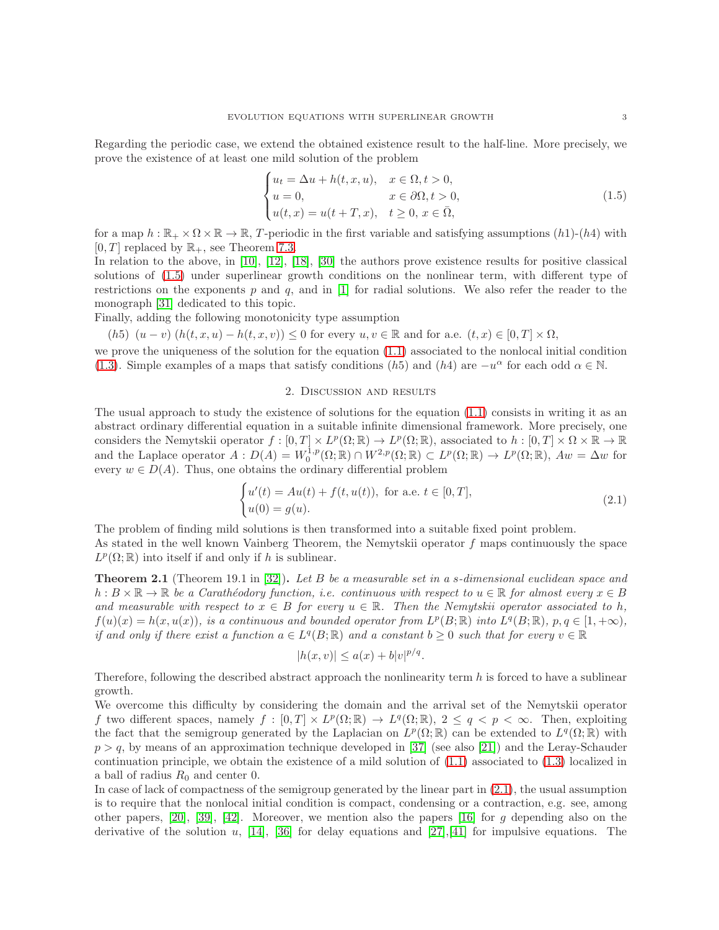Regarding the periodic case, we extend the obtained existence result to the half-line. More precisely, we prove the existence of at least one mild solution of the problem

<span id="page-2-0"></span>
$$
\begin{cases}\n u_t = \Delta u + h(t, x, u), & x \in \Omega, t > 0, \\
 u = 0, & x \in \partial\Omega, t > 0, \\
 u(t, x) = u(t + T, x), & t \ge 0, x \in \overline{\Omega},\n\end{cases}
$$
\n(1.5)

for a map  $h : \mathbb{R}_+ \times \Omega \times \mathbb{R} \to \mathbb{R}$ , T-periodic in the first variable and satisfying assumptions  $(h1)-(h4)$  with  $[0, T]$  replaced by  $\mathbb{R}_+$ , see Theorem [7.3.](#page-18-0)

In relation to the above, in [\[10\]](#page-19-8), [\[12\]](#page-19-9), [\[18\]](#page-19-10), [\[30\]](#page-20-4) the authors prove existence results for positive classical solutions of [\(1.5\)](#page-2-0) under superlinear growth conditions on the nonlinear term, with different type of restrictions on the exponents p and q, and in  $[1]$  for radial solutions. We also refer the reader to the monograph [\[31\]](#page-20-5) dedicated to this topic.

Finally, adding the following monotonicity type assumption

(h5) 
$$
(u-v) (h(t, x, u) - h(t, x, v)) \leq 0
$$
 for every  $u, v \in \mathbb{R}$  and for a.e.  $(t, x) \in [0, T] \times \Omega$ ,

we prove the uniqueness of the solution for the equation [\(1.1\)](#page-0-0) associated to the nonlocal initial condition [\(1.3\)](#page-1-1). Simple examples of a maps that satisfy conditions (h5) and (h4) are  $-u^{\alpha}$  for each odd  $\alpha \in \mathbb{N}$ .

# 2. Discussion and results

The usual approach to study the existence of solutions for the equation [\(1.1\)](#page-0-0) consists in writing it as an abstract ordinary differential equation in a suitable infinite dimensional framework. More precisely, one considers the Nemytskii operator  $f: [0, T] \times L^p(\Omega; \mathbb{R}) \to L^p(\Omega; \mathbb{R})$ , associated to  $h: [0, T] \times \Omega \times \mathbb{R} \to \mathbb{R}$ and the Laplace operator  $A: D(A) = W_0^{1,p}(\Omega;\mathbb{R}) \cap W^{2,p}(\Omega;\mathbb{R}) \subset L^p(\Omega;\mathbb{R}) \to L^p(\Omega;\mathbb{R}),$   $Aw = \Delta w$  for every  $w \in D(A)$ . Thus, one obtains the ordinary differential problem

<span id="page-2-1"></span>
$$
\begin{cases}\nu'(t) = Au(t) + f(t, u(t)), \text{ for a.e. } t \in [0, T],\\u(0) = g(u).\n\end{cases}
$$
\n(2.1)

The problem of finding mild solutions is then transformed into a suitable fixed point problem. As stated in the well known Vainberg Theorem, the Nemytskii operator  $f$  maps continuously the space  $L^p(\Omega;\mathbb{R})$  into itself if and only if h is sublinear.

**Theorem 2.1** (Theorem 19.1 in [\[32\]](#page-20-6)). Let B be a measurable set in a s-dimensional euclidean space and  $h : B \times \mathbb{R} \to \mathbb{R}$  be a Carathéodory function, i.e. continuous with respect to  $u \in \mathbb{R}$  for almost every  $x \in B$ and measurable with respect to  $x \in B$  for every  $u \in \mathbb{R}$ . Then the Nemytskii operator associated to h,  $f(u)(x) = h(x, u(x))$ , is a continuous and bounded operator from  $L^p(B; \mathbb{R})$  into  $L^q(B; \mathbb{R})$ ,  $p, q \in [1, +\infty)$ , if and only if there exist a function  $a \in L^q(B; \mathbb{R})$  and a constant  $b \geq 0$  such that for every  $v \in \mathbb{R}$ 

$$
|h(x,v)| \le a(x) + b|v|^{p/q}.
$$

Therefore, following the described abstract approach the nonlinearity term  $h$  is forced to have a sublinear growth.

We overcome this difficulty by considering the domain and the arrival set of the Nemytskii operator f two different spaces, namely  $f : [0, T] \times L^p(\Omega; \mathbb{R}) \to L^q(\Omega; \mathbb{R}), 2 \le q < p < \infty$ . Then, exploiting the fact that the semigroup generated by the Laplacian on  $L^p(\Omega;\mathbb{R})$  can be extended to  $L^q(\Omega;\mathbb{R})$  with  $p > q$ , by means of an approximation technique developed in [\[37\]](#page-20-7) (see also [\[21\]](#page-19-12)) and the Leray-Schauder continuation principle, we obtain the existence of a mild solution of [\(1.1\)](#page-0-0) associated to [\(1.3\)](#page-1-1) localized in a ball of radius  $R_0$  and center 0.

In case of lack of compactness of the semigroup generated by the linear part in  $(2.1)$ , the usual assumption is to require that the nonlocal initial condition is compact, condensing or a contraction, e.g. see, among other papers,  $[20]$ ,  $[39]$ ,  $[42]$ . Moreover, we mention also the papers  $[16]$  for g depending also on the derivative of the solution u, [\[14\]](#page-19-15), [\[36\]](#page-20-10) for delay equations and [\[27\]](#page-20-11), [\[41\]](#page-20-12) for impulsive equations. The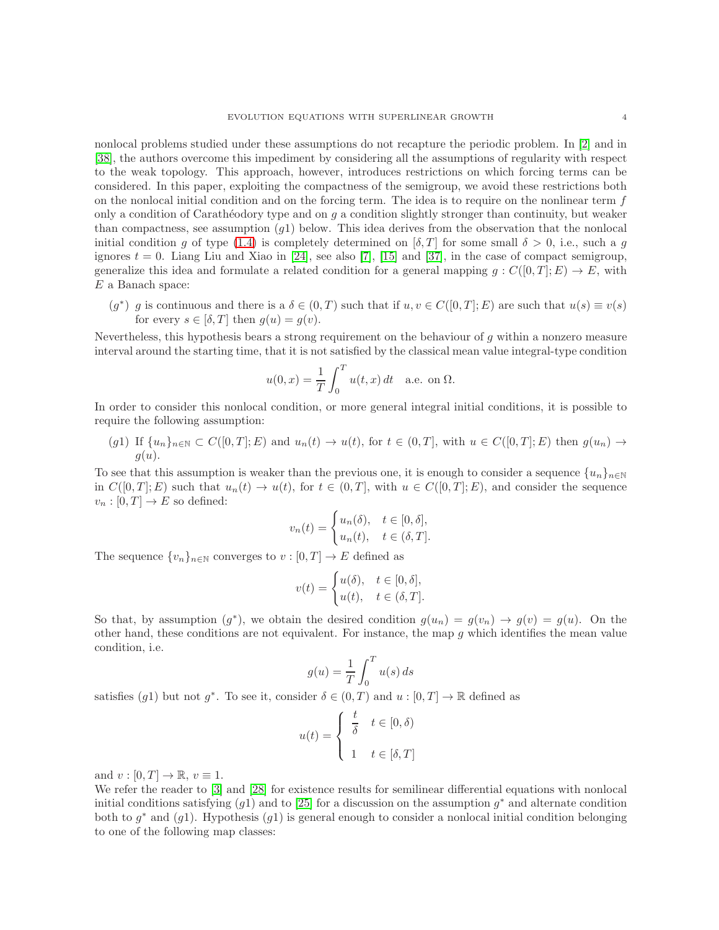nonlocal problems studied under these assumptions do not recapture the periodic problem. In [\[2\]](#page-19-16) and in [\[38\]](#page-20-13), the authors overcome this impediment by considering all the assumptions of regularity with respect to the weak topology. This approach, however, introduces restrictions on which forcing terms can be considered. In this paper, exploiting the compactness of the semigroup, we avoid these restrictions both on the nonlocal initial condition and on the forcing term. The idea is to require on the nonlinear term  $f$ only a condition of Carathéodory type and on  $g$  a condition slightly stronger than continuity, but weaker than compactness, see assumption  $(q1)$  below. This idea derives from the observation that the nonlocal initial condition g of type [\(1.4\)](#page-1-0) is completely determined on  $[\delta, T]$  for some small  $\delta > 0$ , i.e., such a g ignores  $t = 0$ . Liang Liu and Xiao in [\[24\]](#page-19-17), see also [\[7\]](#page-19-18), [\[15\]](#page-19-19) and [\[37\]](#page-20-7), in the case of compact semigroup, generalize this idea and formulate a related condition for a general mapping  $g : C([0,T]; E) \to E$ , with E a Banach space:

 $(g^*)$  g is continuous and there is a  $\delta \in (0,T)$  such that if  $u, v \in C([0,T]; E)$  are such that  $u(s) \equiv v(s)$ for every  $s \in [\delta, T]$  then  $g(u) = g(v)$ .

Nevertheless, this hypothesis bears a strong requirement on the behaviour of g within a nonzero measure interval around the starting time, that it is not satisfied by the classical mean value integral-type condition

$$
u(0,x) = \frac{1}{T} \int_0^T u(t,x) dt
$$
 a.e. on  $\Omega$ .

In order to consider this nonlocal condition, or more general integral initial conditions, it is possible to require the following assumption:

 $(g1)$  If  $\{u_n\}_{n\in\mathbb{N}}\subset C([0,T];E)$  and  $u_n(t)\to u(t)$ , for  $t\in(0,T]$ , with  $u\in C([0,T];E)$  then  $g(u_n)\to u(t)$  $g(u)$ .

To see that this assumption is weaker than the previous one, it is enough to consider a sequence  $\{u_n\}_{n\in\mathbb{N}}$ in  $C([0,T]; E)$  such that  $u_n(t) \to u(t)$ , for  $t \in (0,T]$ , with  $u \in C([0,T]; E)$ , and consider the sequence  $v_n : [0, T] \to E$  so defined:

$$
v_n(t) = \begin{cases} u_n(\delta), & t \in [0, \delta], \\ u_n(t), & t \in (\delta, T]. \end{cases}
$$

The sequence  $\{v_n\}_{n\in\mathbb{N}}$  converges to  $v:[0,T]\to E$  defined as

$$
v(t) = \begin{cases} u(\delta), & t \in [0, \delta], \\ u(t), & t \in (\delta, T]. \end{cases}
$$

So that, by assumption  $(g^*)$ , we obtain the desired condition  $g(u_n) = g(v_n) \to g(v) = g(u)$ . On the other hand, these conditions are not equivalent. For instance, the map  $g$  which identifies the mean value condition, i.e.

$$
g(u) = \frac{1}{T} \int_0^T u(s) \, ds
$$

satisfies (g1) but not g<sup>\*</sup>. To see it, consider  $\delta \in (0, T)$  and  $u : [0, T] \to \mathbb{R}$  defined as

$$
u(t) = \begin{cases} \frac{t}{\delta} & t \in [0, \delta) \\ 1 & t \in [\delta, T] \end{cases}
$$

and  $v : [0, T] \to \mathbb{R}, v \equiv 1$ .

We refer the reader to [\[3\]](#page-19-20) and [\[28\]](#page-20-3) for existence results for semilinear differential equations with nonlocal initial conditions satisfying  $(g1)$  and to [\[25\]](#page-19-21) for a discussion on the assumption  $g^*$  and alternate condition both to  $g^*$  and  $(g1)$ . Hypothesis  $(g1)$  is general enough to consider a nonlocal initial condition belonging to one of the following map classes: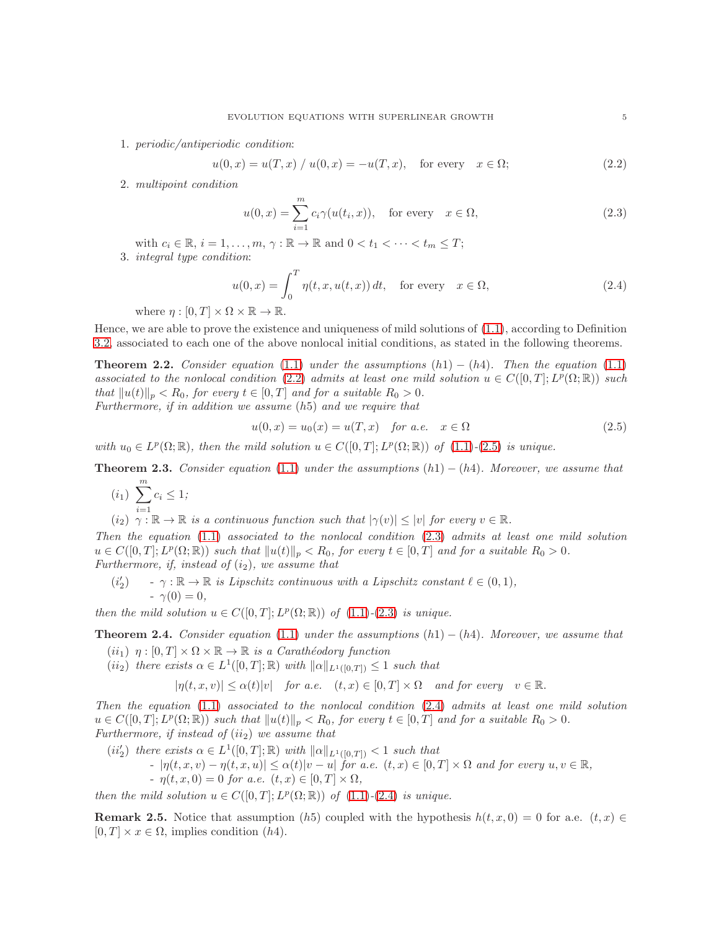1. periodic/antiperiodic condition:

<span id="page-4-0"></span>
$$
u(0, x) = u(T, x) / u(0, x) = -u(T, x)
$$
, for every  $x \in \Omega$ ; (2.2)

2. multipoint condition

<span id="page-4-2"></span>
$$
u(0,x) = \sum_{i=1}^{m} c_i \gamma(u(t_i, x)), \quad \text{for every} \quad x \in \Omega,
$$
\n(2.3)

with  $c_i \in \mathbb{R}, i = 1, \ldots, m, \gamma : \mathbb{R} \to \mathbb{R}$  and  $0 < t_1 < \cdots < t_m \leq T$ ; 3. integral type condition:

<span id="page-4-3"></span>
$$
u(0,x) = \int_0^T \eta(t,x,u(t,x)) dt, \quad \text{for every} \quad x \in \Omega,
$$
\n(2.4)

where  $\eta : [0, T] \times \Omega \times \mathbb{R} \to \mathbb{R}$ .

Hence, we are able to prove the existence and uniqueness of mild solutions of [\(1.1\)](#page-0-0), according to Definition [3.2,](#page-6-0) associated to each one of the above nonlocal initial conditions, as stated in the following theorems.

<span id="page-4-4"></span>**Theorem 2.2.** Consider equation [\(1.1\)](#page-0-0) under the assumptions  $(h1) - (h4)$ . Then the equation (1.1) associated to the nonlocal condition [\(2.2\)](#page-4-0) admits at least one mild solution  $u \in C([0,T]; L^p(\Omega;\mathbb{R}))$  such that  $||u(t)||_p < R_0$ , for every  $t \in [0, T]$  and for a suitable  $R_0 > 0$ . Furthermore, if in addition we assume (h5) and we require that

<span id="page-4-1"></span>
$$
u(0,x) = u_0(x) = u(T,x) \quad \text{for a.e.} \quad x \in \Omega \tag{2.5}
$$

with  $u_0 \in L^p(\Omega;\mathbb{R})$ , then the mild solution  $u \in C([0,T];L^p(\Omega;\mathbb{R}))$  of  $(1.1)-(2.5)$  $(1.1)-(2.5)$  $(1.1)-(2.5)$  is unique.

<span id="page-4-5"></span>**Theorem 2.3.** Consider equation [\(1.1\)](#page-0-0) under the assumptions  $(h1) - (h4)$ . Moreover, we assume that

- $(i_1) \sum_{1}^{m}$  $i=1$  $c_i \leq 1;$
- $(i_2)$   $\gamma : \mathbb{R} \to \mathbb{R}$  is a continuous function such that  $|\gamma(v)| \leq |v|$  for every  $v \in \mathbb{R}$ .

Then the equation  $(1.1)$  associated to the nonlocal condition  $(2.3)$  admits at least one mild solution  $u \in C([0,T]; L^p(\Omega;\mathbb{R}))$  such that  $||u(t)||_p < R_0$ , for every  $t \in [0,T]$  and for a suitable  $R_0 > 0$ . Furthermore, if, instead of  $(i_2)$ , we assume that

 $(i'_{2})$  $\gamma : \mathbb{R} \to \mathbb{R}$  is Lipschitz continuous with a Lipschitz constant  $\ell \in (0,1)$ ,  $-\gamma(0) = 0,$ 

then the mild solution  $u \in C([0,T]; L^p(\Omega;\mathbb{R}))$  of  $(1.1)-(2.3)$  $(1.1)-(2.3)$  $(1.1)-(2.3)$  is unique.

<span id="page-4-6"></span>**Theorem 2.4.** Consider equation [\(1.1\)](#page-0-0) under the assumptions  $(h1) - (h4)$ . Moreover, we assume that

- $(ii_1)$   $\eta : [0, T] \times \Omega \times \mathbb{R} \to \mathbb{R}$  is a Carathéodory function
- $(ii_2)$  there exists  $\alpha \in L^1([0,T];\mathbb{R})$  with  $\|\alpha\|_{L^1([0,T])} \leq 1$  such that

$$
|\eta(t, x, v)| \le \alpha(t)|v| \quad \text{for a.e.} \quad (t, x) \in [0, T] \times \Omega \quad \text{and for every} \quad v \in \mathbb{R}.
$$

Then the equation  $(1.1)$  associated to the nonlocal condition  $(2.4)$  admits at least one mild solution  $u \in C([0,T]; L^p(\Omega;\mathbb{R}))$  such that  $||u(t)||_p < R_0$ , for every  $t \in [0,T]$  and for a suitable  $R_0 > 0$ . Furthermore, if instead of  $(ii<sub>2</sub>)$  we assume that

 $(ii'_2)$  there exists  $\alpha \in L^1([0,T];\mathbb{R})$  with  $\|\alpha\|_{L^1([0,T])} < 1$  such that  $- |\eta(t, x, v) - \eta(t, x, u)| \leq \alpha(t) |v - u|$  for a.e.  $(t, x) \in [0, T] \times \Omega$  and for every  $u, v \in \mathbb{R}$ , -  $\eta(t, x, 0) = 0$  for a.e.  $(t, x) \in [0, T] \times \Omega$ ,

then the mild solution  $u \in C([0,T]; L^p(\Omega;\mathbb{R}))$  of  $(1.1)-(2.4)$  $(1.1)-(2.4)$  $(1.1)-(2.4)$  is unique.

**Remark 2.5.** Notice that assumption (h5) coupled with the hypothesis  $h(t, x, 0) = 0$  for a.e.  $(t, x) \in$  $[0, T] \times x \in \Omega$ , implies condition  $(h4)$ .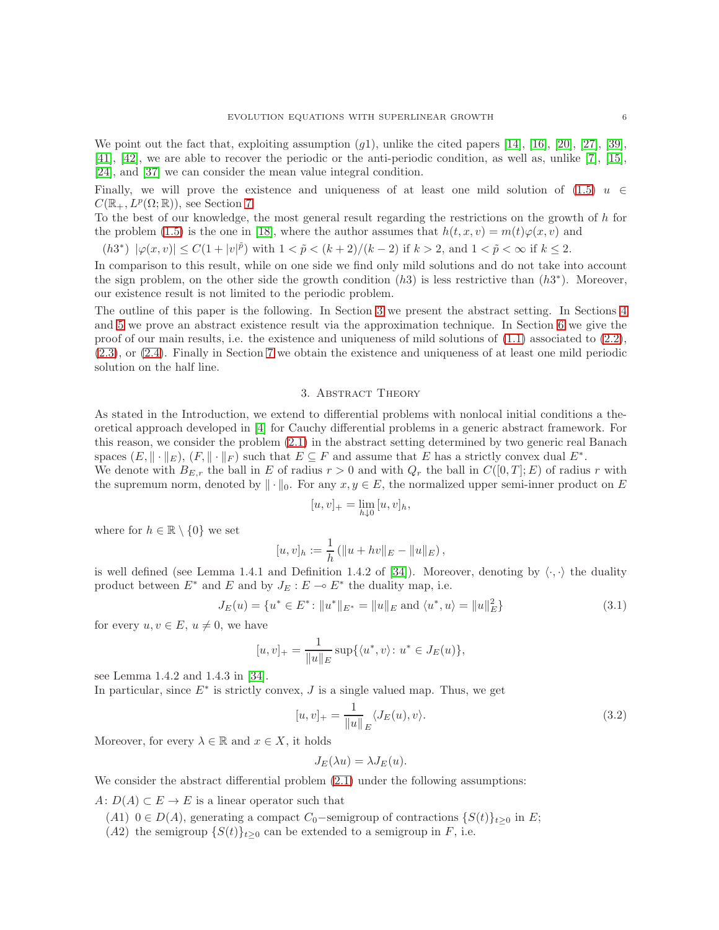We point out the fact that, exploiting assumption  $(g1)$ , unlike the cited papers [\[14\]](#page-19-15), [\[16\]](#page-19-14), [\[20\]](#page-19-13), [\[27\]](#page-20-11), [\[39\]](#page-20-8), [\[41\]](#page-20-12), [\[42\]](#page-20-9), we are able to recover the periodic or the anti-periodic condition, as well as, unlike [\[7\]](#page-19-18), [\[15\]](#page-19-19), [\[24\]](#page-19-17), and [\[37\]](#page-20-7) we can consider the mean value integral condition.

Finally, we will prove the existence and uniqueness of at least one mild solution of [\(1.5\)](#page-2-0)  $u \in$  $C(\mathbb{R}_+, L^p(\Omega;\mathbb{R}))$ , see Section [7.](#page-16-1)

To the best of our knowledge, the most general result regarding the restrictions on the growth of  $h$  for the problem [\(1.5\)](#page-2-0) is the one in [\[18\]](#page-19-10), where the author assumes that  $h(t, x, v) = m(t)\varphi(x, v)$  and

(h3<sup>\*</sup>) 
$$
|\varphi(x,v)| \leq C(1+|v|^{\tilde{p}})
$$
 with  $1 < \tilde{p} < (k+2)/(k-2)$  if  $k > 2$ , and  $1 < \tilde{p} < \infty$  if  $k \leq 2$ .

In comparison to this result, while on one side we find only mild solutions and do not take into account the sign problem, on the other side the growth condition  $(h3)$  is less restrictive than  $(h3^*)$ . Moreover, our existence result is not limited to the periodic problem.

The outline of this paper is the following. In Section [3](#page-5-0) we present the abstract setting. In Sections [4](#page-8-0) and [5](#page-11-0) we prove an abstract existence result via the approximation technique. In Section [6](#page-13-0) we give the proof of our main results, i.e. the existence and uniqueness of mild solutions of [\(1.1\)](#page-0-0) associated to [\(2.2\)](#page-4-0), [\(2.3\)](#page-4-2), or [\(2.4\)](#page-4-3). Finally in Section [7](#page-16-1) we obtain the existence and uniqueness of at least one mild periodic solution on the half line.

# 3. Abstract Theory

<span id="page-5-0"></span>As stated in the Introduction, we extend to differential problems with nonlocal initial conditions a theoretical approach developed in [\[4\]](#page-19-7) for Cauchy differential problems in a generic abstract framework. For this reason, we consider the problem [\(2.1\)](#page-2-1) in the abstract setting determined by two generic real Banach spaces  $(E, \|\cdot\|_E)$ ,  $(F, \|\cdot\|_F)$  such that  $E \subseteq F$  and assume that E has a strictly convex dual  $E^*$ .

We denote with  $B_{E,r}$  the ball in E of radius  $r > 0$  and with  $Q_r$  the ball in  $C([0,T]; E)$  of radius r with the supremum norm, denoted by  $\|\cdot\|_0$ . For any  $x, y \in E$ , the normalized upper semi-inner product on E

$$
[u, v]_+ = \lim_{h \downarrow 0} [u, v]_h,
$$

where for  $h \in \mathbb{R} \setminus \{0\}$  we set

$$
[u, v]_h := \frac{1}{h} (||u + hv||_E - ||u||_E),
$$

is well defined (see Lemma 1.4.1 and Definition 1.4.2 of [\[34\]](#page-20-14)). Moreover, denoting by  $\langle \cdot, \cdot \rangle$  the duality product between  $E^*$  and  $E$  and by  $J_E : E \multimap E^*$  the duality map, i.e.

$$
J_E(u) = \{u^* \in E^* : \|u^*\|_{E^*} = \|u\|_E \text{ and } \langle u^*, u \rangle = \|u\|_E^2\}
$$
(3.1)

for every  $u, v \in E$ ,  $u \neq 0$ , we have

$$
[u, v]_+ = \frac{1}{\|u\|_E} \sup \{ \langle u^*, v \rangle : u^* \in J_E(u) \},
$$

see Lemma 1.4.2 and 1.4.3 in [\[34\]](#page-20-14).

In particular, since  $E^*$  is strictly convex,  $J$  is a single valued map. Thus, we get

$$
[u, v]_{+} = \frac{1}{\|u\|_{E}} \langle J_{E}(u), v \rangle.
$$
\n(3.2)

Moreover, for every  $\lambda \in \mathbb{R}$  and  $x \in X$ , it holds

$$
J_E(\lambda u) = \lambda J_E(u).
$$

We consider the abstract differential problem  $(2.1)$  under the following assumptions:

A:  $D(A) \subset E \to E$  is a linear operator such that

- (A1)  $0 \in D(A)$ , generating a compact  $C_0$ –semigroup of contractions  $\{S(t)\}\$ <sub>t>0</sub> in E;
- (A2) the semigroup  $\{S(t)\}_{t>0}$  can be extended to a semigroup in F, i.e.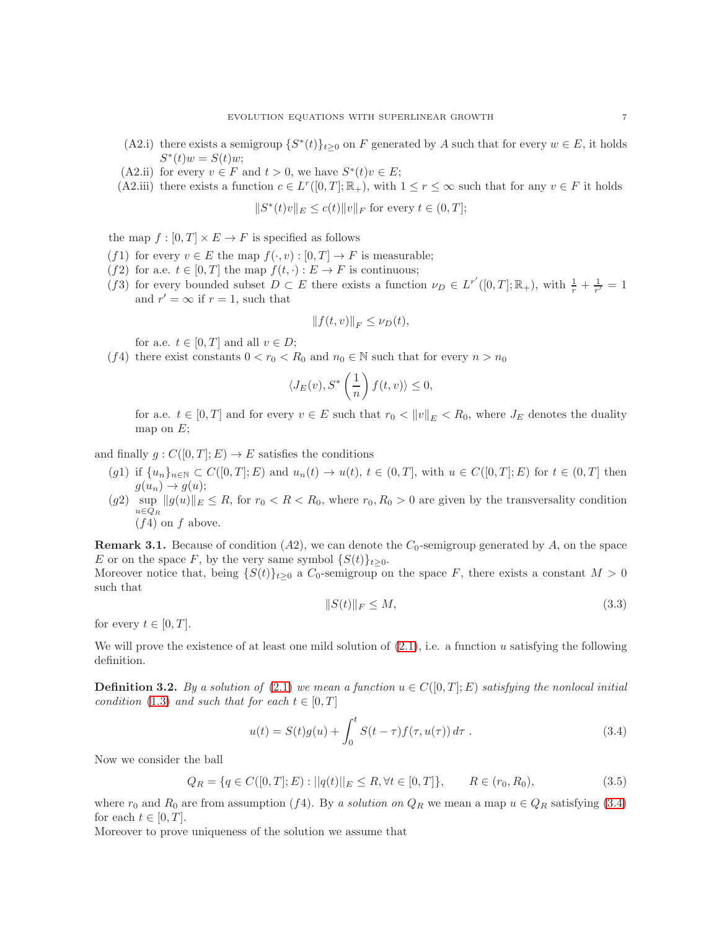- (A2.i) there exists a semigroup  $\{S^*(t)\}_{t\geq 0}$  on F generated by A such that for every  $w \in E$ , it holds  $S^*(t)w = S(t)w;$
- (A2.ii) for every  $v \in F$  and  $t > 0$ , we have  $S^*(t)v \in E$ ;
- (A2.iii) there exists a function  $c \in L^r([0,T];\mathbb{R}_+),$  with  $1 \leq r \leq \infty$  such that for any  $v \in F$  it holds

 $||S^*(t)v||_E \le c(t) ||v||_F$  for every  $t \in (0, T];$ 

the map  $f : [0, T] \times E \to F$  is specified as follows

- (f1) for every  $v \in E$  the map  $f(\cdot, v) : [0, T] \to F$  is measurable;
- (f2) for a.e.  $t \in [0, T]$  the map  $f(t, \cdot) : E \to F$  is continuous;
- (f3) for every bounded subset  $D \subset E$  there exists a function  $\nu_D \in L^{r'}([0,T];\mathbb{R}_+)$ , with  $\frac{1}{r} + \frac{1}{r'} = 1$ and  $r' = \infty$  if  $r = 1$ , such that

$$
||f(t,v)||_F \leq \nu_D(t),
$$

for a.e.  $t \in [0, T]$  and all  $v \in D$ ;

(f4) there exist constants  $0 < r_0 < R_0$  and  $n_0 \in \mathbb{N}$  such that for every  $n > n_0$ 

$$
\langle J_E(v), S^* \left(\frac{1}{n}\right) f(t, v) \rangle \le 0,
$$

for a.e.  $t \in [0, T]$  and for every  $v \in E$  such that  $r_0 < ||v||_E < R_0$ , where  $J_E$  denotes the duality map on  $E$ ;

and finally  $g: C([0,T]; E) \to E$  satisfies the conditions

- (g1) if  $\{u_n\}_{n\in\mathbb{N}}\subset C([0,T];E)$  and  $u_n(t)\to u(t), t\in(0,T],$  with  $u\in C([0,T];E)$  for  $t\in(0,T]$  then  $g(u_n) \to g(u);$
- $(g2)$  sup  $||g(u)||_E \leq R$ , for  $r_0 < R < R_0$ , where  $r_0, R_0 > 0$  are given by the transversality condition  $u \in \bar{Q}_R$  $(f4)$  on f above.

**Remark 3.1.** Because of condition  $(A2)$ , we can denote the  $C_0$ -semigroup generated by A, on the space E or on the space F, by the very same symbol  $\{S(t)\}_{t\geq0}$ .

Moreover notice that, being  $\{S(t)\}_{t\geq 0}$  a  $C_0$ -semigroup on the space F, there exists a constant  $M > 0$ such that

<span id="page-6-2"></span>
$$
||S(t)||_F \le M,\t\t(3.3)
$$

for every  $t \in [0, T]$ .

We will prove the existence of at least one mild solution of  $(2.1)$ , i.e. a function u satisfying the following definition.

<span id="page-6-0"></span>**Definition 3.2.** By a solution of [\(2.1\)](#page-2-1) we mean a function  $u \in C([0, T]; E)$  satisfying the nonlocal initial condition [\(1.3\)](#page-1-1) and such that for each  $t \in [0, T]$ 

<span id="page-6-1"></span>
$$
u(t) = S(t)g(u) + \int_0^t S(t - \tau)f(\tau, u(\tau)) d\tau.
$$
 (3.4)

Now we consider the ball

$$
Q_R = \{ q \in C([0, T]; E) : ||q(t)||_E \le R, \forall t \in [0, T] \}, \qquad R \in (r_0, R_0), \tag{3.5}
$$

where  $r_0$  and  $R_0$  are from assumption (f4). By a solution on  $Q_R$  we mean a map  $u \in Q_R$  satisfying [\(3.4\)](#page-6-1) for each  $t \in [0, T]$ .

Moreover to prove uniqueness of the solution we assume that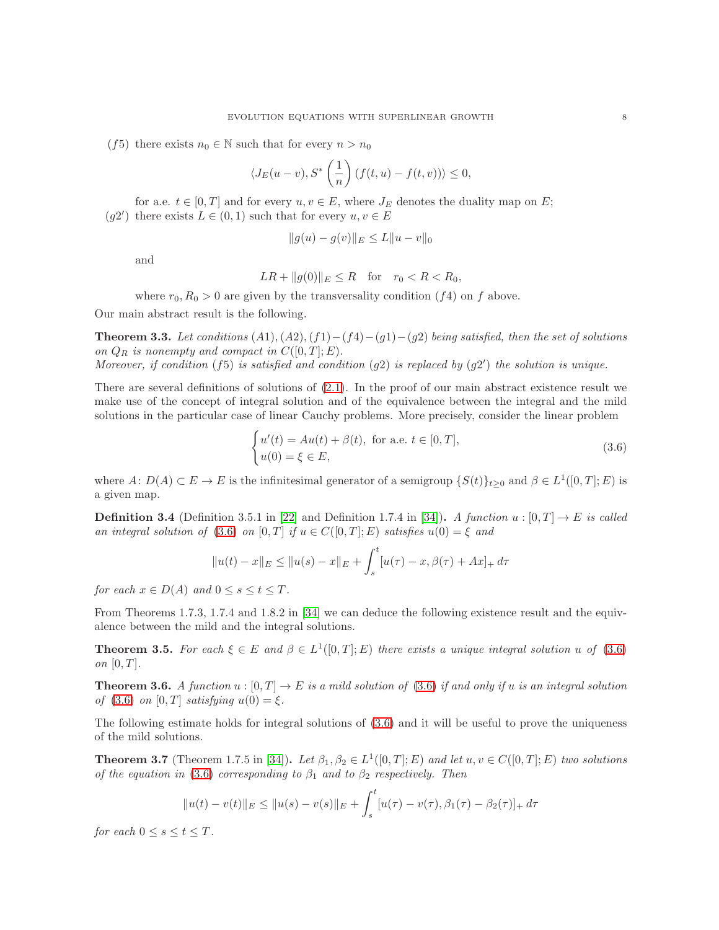(f5) there exists  $n_0 \in \mathbb{N}$  such that for every  $n > n_0$ 

$$
\langle J_E(u-v), S^*\left(\frac{1}{n}\right) (f(t,u) - f(t,v)) \rangle \le 0,
$$

for a.e.  $t \in [0, T]$  and for every  $u, v \in E$ , where  $J_E$  denotes the duality map on E; (g2') there exists  $L \in (0,1)$  such that for every  $u, v \in E$ 

$$
||g(u) - g(v)||_E \le L||u - v||_0
$$

and

$$
LR + ||g(0)||_E \le R \quad \text{for} \quad r_0 < R < R_0,
$$

where  $r_0, R_0 > 0$  are given by the transversality condition  $(f4)$  on f above.

Our main abstract result is the following.

<span id="page-7-1"></span>**Theorem 3.3.** Let conditions  $(A1), (A2), (f1) - (f4) - (g1) - (g2)$  being satisfied, then the set of solutions on  $Q_R$  is nonempty and compact in  $C([0, T]; E)$ .

Moreover, if condition  $(f5)$  is satisfied and condition  $(g2)$  is replaced by  $(g2')$  the solution is unique.

There are several definitions of solutions of  $(2.1)$ . In the proof of our main abstract existence result we make use of the concept of integral solution and of the equivalence between the integral and the mild solutions in the particular case of linear Cauchy problems. More precisely, consider the linear problem

<span id="page-7-0"></span>
$$
\begin{cases}\nu'(t) = Au(t) + \beta(t), \text{ for a.e. } t \in [0, T],\\u(0) = \xi \in E,\end{cases}
$$
\n(3.6)

where  $A: D(A) \subset E \to E$  is the infinitesimal generator of a semigroup  $\{S(t)\}_{t\geq 0}$  and  $\beta \in L^1([0,T]; E)$  is a given map.

**Definition 3.4** (Definition 3.5.1 in [\[22\]](#page-19-22) and Definition 1.7.4 in [\[34\]](#page-20-14)). A function  $u : [0, T] \rightarrow E$  is called an integral solution of [\(3.6\)](#page-7-0) on  $[0, T]$  if  $u \in C([0, T]; E)$  satisfies  $u(0) = \xi$  and

$$
||u(t) - x||_E \le ||u(s) - x||_E + \int_s^t [u(\tau) - x, \beta(\tau) + Ax]_+ d\tau
$$

for each  $x \in D(A)$  and  $0 \leq s \leq t \leq T$ .

From Theorems 1.7.3, 1.7.4 and 1.8.2 in [\[34\]](#page-20-14) we can deduce the following existence result and the equivalence between the mild and the integral solutions.

**Theorem 3.5.** For each  $\xi \in E$  and  $\beta \in L^1([0,T];E)$  there exists a unique integral solution u of [\(3.6\)](#page-7-0) on  $[0, T]$ .

<span id="page-7-2"></span>**Theorem 3.6.** A function  $u : [0, T] \to E$  is a mild solution of [\(3.6\)](#page-7-0) if and only if u is an integral solution of [\(3.6\)](#page-7-0) on  $[0, T]$  satisfying  $u(0) = \xi$ .

The following estimate holds for integral solutions of [\(3.6\)](#page-7-0) and it will be useful to prove the uniqueness of the mild solutions.

<span id="page-7-3"></span>**Theorem 3.7** (Theorem 1.7.5 in [\[34\]](#page-20-14)). Let  $\beta_1, \beta_2 \in L^1([0,T]; E)$  and let  $u, v \in C([0,T]; E)$  two solutions of the equation in [\(3.6\)](#page-7-0) corresponding to  $\beta_1$  and to  $\beta_2$  respectively. Then

$$
||u(t) - v(t)||_E \le ||u(s) - v(s)||_E + \int_s^t [u(\tau) - v(\tau), \beta_1(\tau) - \beta_2(\tau)]_+ d\tau
$$

for each  $0 \leq s \leq t \leq T$ .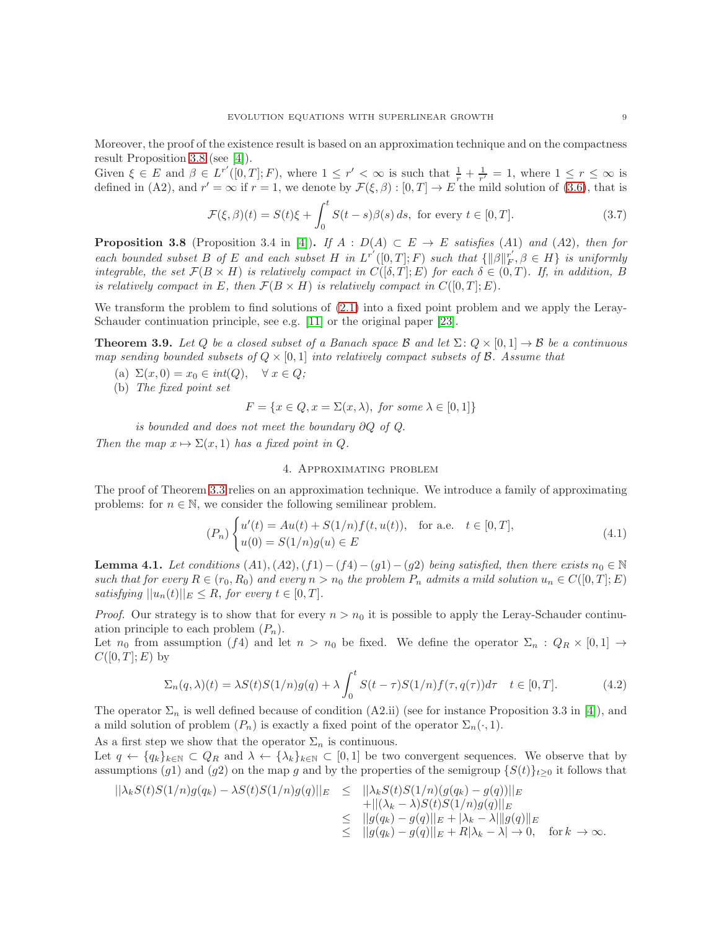Moreover, the proof of the existence result is based on an approximation technique and on the compactness result Proposition [3.8](#page-8-1) (see [\[4\]](#page-19-7)).

Given  $\xi \in E$  and  $\beta \in L^{r'}([0,T];F)$ , where  $1 \leq r' < \infty$  is such that  $\frac{1}{r} + \frac{1}{r'} = 1$ , where  $1 \leq r \leq \infty$  is defined in (A2), and  $r' = \infty$  if  $r = 1$ , we denote by  $\mathcal{F}(\xi, \beta) : [0, T] \to E$  the mild solution of [\(3.6\)](#page-7-0), that is

$$
\mathcal{F}(\xi,\beta)(t) = S(t)\xi + \int_0^t S(t-s)\beta(s) \, ds, \text{ for every } t \in [0,T]. \tag{3.7}
$$

<span id="page-8-1"></span>**Proposition 3.8** (Proposition 3.4 in [\[4\]](#page-19-7)). If  $A : D(A) \subset E \to E$  satisfies (A1) and (A2), then for each bounded subset B of E and each subset H in  $L^{r'}([0,T];F)$  such that  $\{||\beta||_F^{r'}$  $F_F, \beta \in H$  is uniformly integrable, the set  $\mathcal{F}(B \times H)$  is relatively compact in  $C([0,T];E)$  for each  $\delta \in (0,T)$ . If, in addition, B is relatively compact in E, then  $\mathcal{F}(B \times H)$  is relatively compact in  $C([0,T];E)$ .

We transform the problem to find solutions of  $(2.1)$  into a fixed point problem and we apply the Leray-Schauder continuation principle, see e.g. [\[11\]](#page-19-23) or the original paper [\[23\]](#page-19-24).

**Theorem 3.9.** Let Q be a closed subset of a Banach space B and let  $\Sigma: Q \times [0,1] \to B$  be a continuous map sending bounded subsets of  $Q \times [0, 1]$  into relatively compact subsets of B. Assume that

- (a)  $\Sigma(x,0) = x_0 \in int(Q), \quad \forall x \in Q;$
- (b) The fixed point set

 $F = \{x \in Q, x = \Sigma(x, \lambda), \text{ for some } \lambda \in [0, 1]\}\$ 

is bounded and does not meet the boundary ∂Q of Q.

<span id="page-8-0"></span>Then the map  $x \mapsto \Sigma(x, 1)$  has a fixed point in Q.

# 4. Approximating problem

The proof of Theorem [3.3](#page-7-1) relies on an approximation technique. We introduce a family of approximating problems: for  $n \in \mathbb{N}$ , we consider the following semilinear problem.

$$
(P_n)\begin{cases} u'(t) = Au(t) + S(1/n)f(t, u(t)), & \text{for a.e.} \quad t \in [0, T], \\ u(0) = S(1/n)g(u) \in E \end{cases}
$$
(4.1)

<span id="page-8-2"></span>**Lemma 4.1.** Let conditions  $(A1), (A2), (f1) - (f4) - (g1) - (g2)$  being satisfied, then there exists  $n_0 \in \mathbb{N}$ such that for every  $R \in (r_0, R_0)$  and every  $n > n_0$  the problem  $P_n$  admits a mild solution  $u_n \in C([0, T]; E)$ satisfying  $||u_n(t)||_E \leq R$ , for every  $t \in [0, T]$ .

*Proof.* Our strategy is to show that for every  $n > n_0$  it is possible to apply the Leray-Schauder continuation principle to each problem  $(P_n)$ .

Let  $n_0$  from assumption (f4) and let  $n > n_0$  be fixed. We define the operator  $\Sigma_n : Q_R \times [0,1] \to$  $C([0,T];E)$  by

$$
\Sigma_n(q,\lambda)(t) = \lambda S(t)S(1/n)g(q) + \lambda \int_0^t S(t-\tau)S(1/n)f(\tau,q(\tau))d\tau \quad t \in [0,T].
$$
\n(4.2)

The operator  $\Sigma_n$  is well defined because of condition (A2.ii) (see for instance Proposition 3.3 in [\[4\]](#page-19-7)), and a mild solution of problem  $(P_n)$  is exactly a fixed point of the operator  $\Sigma_n(\cdot, 1)$ .

As a first step we show that the operator  $\Sigma_n$  is continuous.

Let  $q \leftarrow \{q_k\}_{k\in\mathbb{N}} \subset Q_R$  and  $\lambda \leftarrow \{\lambda_k\}_{k\in\mathbb{N}} \subset [0,1]$  be two convergent sequences. We observe that by assumptions (g1) and (g2) on the map g and by the properties of the semigroup  $\{S(t)\}_{t\geq0}$  it follows that

$$
\begin{array}{rcl}\n||\lambda_k S(t)S(1/n)g(q_k) - \lambda S(t)S(1/n)g(q)||_E & \leq & ||\lambda_k S(t)S(1/n)(g(q_k) - g(q))||_E \\
& & + ||(\lambda_k - \lambda)S(t)S(1/n)g(q)||_E \\
& \leq & ||g(q_k) - g(q)||_E + |\lambda_k - \lambda||g(q)||_E \\
& \leq & ||g(q_k) - g(q)||_E + R|\lambda_k - \lambda| \to 0, \quad \text{for } k \to \infty.\n\end{array}
$$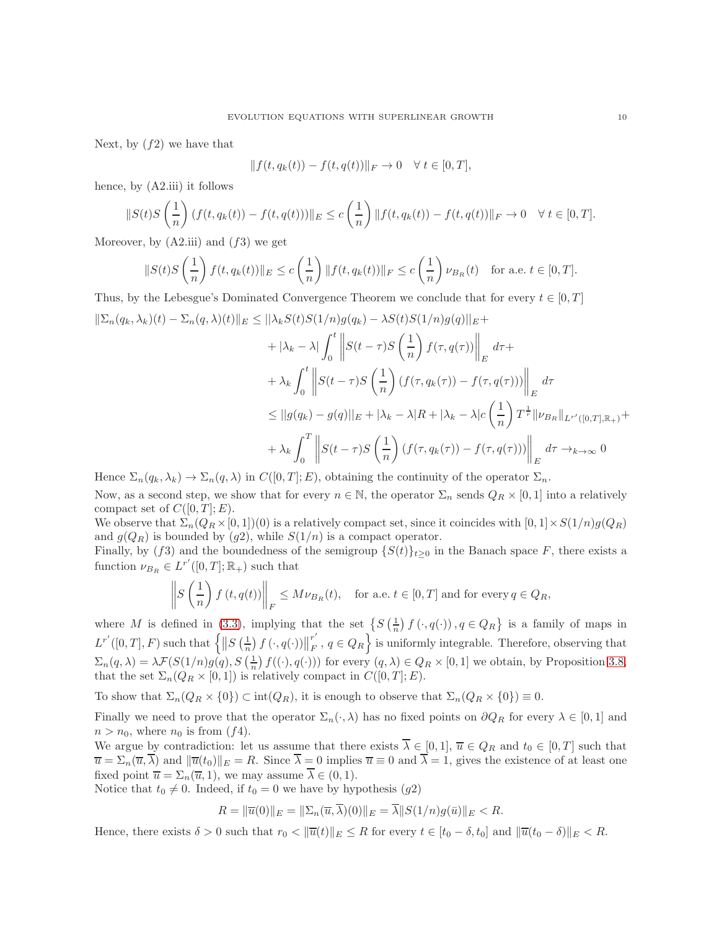Next, by  $(f2)$  we have that

$$
|| f(t, q_k(t)) - f(t, q(t)) ||_F \to 0 \quad \forall \ t \in [0, T],
$$

hence, by (A2.iii) it follows

$$
||S(t)S\left(\frac{1}{n}\right)(f(t,q_k(t)) - f(t,q(t)))||_E \le c\left(\frac{1}{n}\right) ||f(t,q_k(t)) - f(t,q(t))||_F \to 0 \quad \forall \ t \in [0,T].
$$

Moreover, by  $(A2.iii)$  and  $(f3)$  we get

$$
||S(t)S\left(\frac{1}{n}\right)f(t,q_k(t))||_E \le c\left(\frac{1}{n}\right)||f(t,q_k(t))||_F \le c\left(\frac{1}{n}\right)\nu_{B_R}(t) \quad \text{for a.e. } t \in [0,T].
$$

Thus, by the Lebesgue's Dominated Convergence Theorem we conclude that for every  $t \in [0, T]$  $\|\Sigma_n(q_k, \lambda_k)(t) - \Sigma_n(q, \lambda)(t)\|_E \leq \|\lambda_k S(t)S(1/n)g(q_k) - \lambda S(t)S(1/n)g(q)\|_E +$ 

$$
+ |\lambda_k - \lambda| \int_0^t \left\| S(t - \tau) S\left(\frac{1}{n}\right) f(\tau, q(\tau)) \right\|_E d\tau +
$$
  
+  $\lambda_k \int_0^t \left\| S(t - \tau) S\left(\frac{1}{n}\right) (f(\tau, q_k(\tau)) - f(\tau, q(\tau))) \right\|_E d\tau$   

$$
\leq ||g(q_k) - g(q)||_E + |\lambda_k - \lambda|R| + |\lambda_k - \lambda|c\left(\frac{1}{n}\right) T^{\frac{1}{r}} ||\nu_{B_R}||_{L^{r'}([0,T], \mathbb{R}_+)} +
$$
  
+  $\lambda_k \int_0^T \left\| S(t - \tau) S\left(\frac{1}{n}\right) (f(\tau, q_k(\tau)) - f(\tau, q(\tau))) \right\|_E d\tau \to_{k \to \infty} 0$ 

Hence  $\Sigma_n(q_k, \lambda_k) \to \Sigma_n(q, \lambda)$  in  $C([0, T]; E)$ , obtaining the continuity of the operator  $\Sigma_n$ . Now, as a second step, we show that for every  $n \in \mathbb{N}$ , the operator  $\Sigma_n$  sends  $Q_R \times [0,1]$  into a relatively

compact set of  $C([0, T]; E)$ . We observe that  $\Sigma_n(Q_R\times[0,1])(0)$  is a relatively compact set, since it coincides with  $[0,1]\times S(1/n)g(Q_R)$ 

and  $g(Q_R)$  is bounded by  $(g2)$ , while  $S(1/n)$  is a compact operator. Finally, by (f3) and the boundedness of the semigroup  $\{S(t)\}_{t\geq0}$  in the Banach space F, there exists a

function 
$$
\nu_{B_R} \in L^{r'}([0,T]; \mathbb{R}_+)
$$
 such that  
\n
$$
\parallel (1) \qquad \parallel
$$

$$
\left\| S\left(\frac{1}{n}\right) f\left(t, q(t)\right) \right\|_F \le M \nu_{B_R}(t), \quad \text{for a.e. } t \in [0, T] \text{ and for every } q \in Q_R,
$$

where M is defined in [\(3.3\)](#page-6-2), implying that the set  $\{S(\frac{1}{n}) f(\cdot, q(\cdot)), q \in Q_R\}$  is a family of maps in  $L^{r'}([0,T],F)$  such that  $\left\{\left\|S\left(\frac{1}{n}\right)f\left(\cdot,q(\cdot)\right)\right\|$ r ′  $F(F, q \in Q_R)$  is uniformly integrable. Therefore, observing that  $\Sigma_n(q,\lambda) = \lambda \mathcal{F}(S(1/n)g(q), S(\frac{1}{n}) f((\cdot), q(\cdot)))$  for every  $(q, \lambda) \in Q_R \times [0, 1]$  we obtain, by Proposition [3.8,](#page-8-1) that the set  $\Sigma_n(Q_R \times [0,1])$  is relatively compact in  $C([0,T];E)$ .

To show that  $\Sigma_n(Q_R \times \{0\}) \subset \text{int}(Q_R)$ , it is enough to observe that  $\Sigma_n(Q_R \times \{0\}) \equiv 0$ .

Finally we need to prove that the operator  $\Sigma_n(\cdot, \lambda)$  has no fixed points on  $\partial Q_R$  for every  $\lambda \in [0, 1]$  and  $n > n_0$ , where  $n_0$  is from  $(f4)$ .

We argue by contradiction: let us assume that there exists  $\overline{\lambda} \in [0,1], \overline{u} \in Q_R$  and  $t_0 \in [0,T]$  such that  $\overline{u} = \sum_n(\overline{u}, \overline{\lambda})$  and  $\|\overline{u}(t_0)\|_E = R$ . Since  $\overline{\lambda} = 0$  implies  $\overline{u} \equiv 0$  and  $\overline{\lambda} = 1$ , gives the existence of at least one fixed point  $\overline{u} = \Sigma_n(\overline{u}, 1)$ , we may assume  $\overline{\lambda} \in (0, 1)$ .

Notice that  $t_0 \neq 0$ . Indeed, if  $t_0 = 0$  we have by hypothesis (g2)

$$
R = \|\overline{u}(0)\|_E = \|\Sigma_n(\overline{u}, \overline{\lambda})(0)\|_E = \overline{\lambda} \|S(1/n)g(\overline{u})\|_E < R.
$$

Hence, there exists  $\delta > 0$  such that  $r_0 < ||\overline{u}(t)||_E \leq R$  for every  $t \in [t_0 - \delta, t_0]$  and  $||\overline{u}(t_0 - \delta)||_E < R$ .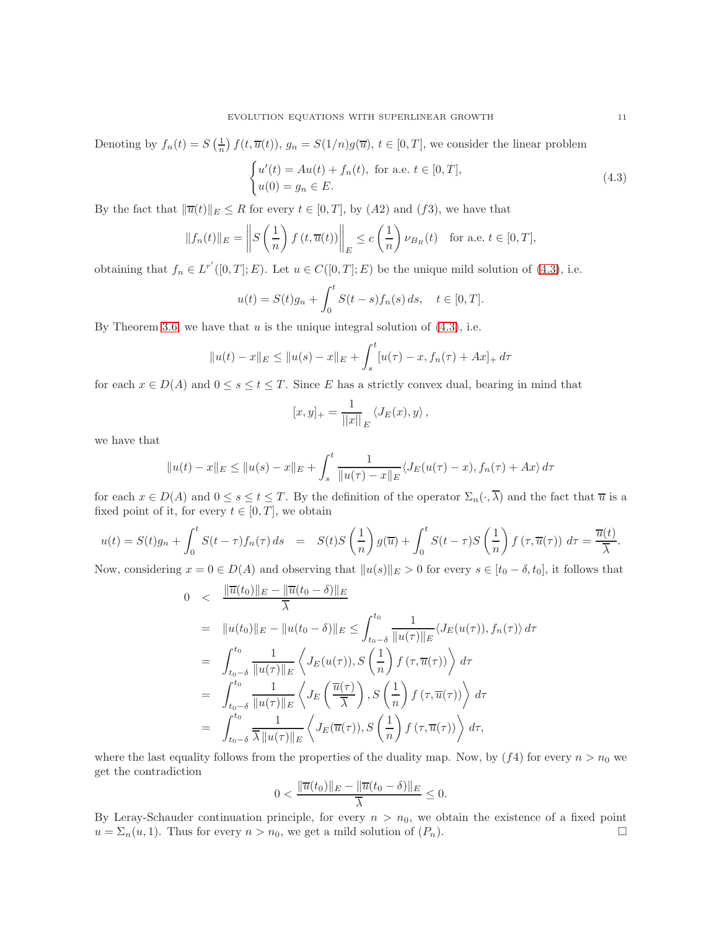Denoting by  $f_n(t) = S\left(\frac{1}{n}\right) f(t, \overline{u}(t)), g_n = S(1/n)g(\overline{u}), t \in [0, T],$  we consider the linear problem

<span id="page-10-0"></span>
$$
\begin{cases}\nu'(t) = Au(t) + f_n(t), \text{ for a.e. } t \in [0, T],\\u(0) = g_n \in E.\end{cases}
$$
\n(4.3)

By the fact that  $\|\overline{u}(t)\|_E \leq R$  for every  $t \in [0, T]$ , by  $(A2)$  and  $(f3)$ , we have that

$$
||f_n(t)||_E = \left\| S\left(\frac{1}{n}\right) f\left(t, \overline{u}(t)\right) \right\|_E \le c\left(\frac{1}{n}\right) \nu_{B_R}(t) \quad \text{for a.e. } t \in [0, T],
$$

obtaining that  $f_n \in L^{r'}([0,T];E)$ . Let  $u \in C([0,T];E)$  be the unique mild solution of [\(4.3\)](#page-10-0), i.e.

$$
u(t) = S(t)g_n + \int_0^t S(t - s) f_n(s) ds, \quad t \in [0, T].
$$

By Theorem [3.6,](#page-7-2) we have that  $u$  is the unique integral solution of  $(4.3)$ , i.e.

$$
||u(t) - x||_E \le ||u(s) - x||_E + \int_s^t [u(\tau) - x, f_n(\tau) + Ax]_+ d\tau
$$

for each  $x \in D(A)$  and  $0 \le s \le t \le T$ . Since E has a strictly convex dual, bearing in mind that

$$
[x,y]_+ = \frac{1}{||x||}_E \langle J_E(x), y \rangle ,
$$

we have that

$$
||u(t) - x||_E \le ||u(s) - x||_E + \int_s^t \frac{1}{||u(\tau) - x||_E} \langle J_E(u(\tau) - x), f_n(\tau) + Ax \rangle d\tau
$$

for each  $x \in D(A)$  and  $0 \le s \le t \le T$ . By the definition of the operator  $\Sigma_n(\cdot, \overline{\lambda})$  and the fact that  $\overline{u}$  is a fixed point of it, for every  $t \in [0, T]$ , we obtain

$$
u(t) = S(t)g_n + \int_0^t S(t-\tau)f_n(\tau) ds = S(t)S\left(\frac{1}{n}\right)g(\overline{u}) + \int_0^t S(t-\tau)S\left(\frac{1}{n}\right)f(\tau,\overline{u}(\tau)) d\tau = \frac{\overline{u}(t)}{\overline{\lambda}}.
$$

Now, considering  $x = 0 \in D(A)$  and observing that  $||u(s)||_E > 0$  for every  $s \in [t_0 - \delta, t_0]$ , it follows that

$$
0 < \frac{\|\overline{u}(t_0)\|_E - \|\overline{u}(t_0 - \delta)\|_E}{\overline{\lambda}}
$$
  
\n
$$
= \|u(t_0)\|_E - \|u(t_0 - \delta)\|_E \leq \int_{t_0 - \delta}^{t_0} \frac{1}{\|u(\tau)\|_E} \langle J_E(u(\tau)), f_n(\tau) \rangle d\tau
$$
  
\n
$$
= \int_{t_0 - \delta}^{t_0} \frac{1}{\|u(\tau)\|_E} \langle J_E(u(\tau)), S\left(\frac{1}{n}\right) f(\tau, \overline{u}(\tau)) \rangle d\tau
$$
  
\n
$$
= \int_{t_0 - \delta}^{t_0} \frac{1}{\|u(\tau)\|_E} \langle J_E\left(\frac{\overline{u}(\tau)}{\overline{\lambda}}\right), S\left(\frac{1}{n}\right) f(\tau, \overline{u}(\tau)) \rangle d\tau
$$
  
\n
$$
= \int_{t_0 - \delta}^{t_0} \frac{1}{\overline{\lambda} \|u(\tau)\|_E} \langle J_E(\overline{u}(\tau)), S\left(\frac{1}{n}\right) f(\tau, \overline{u}(\tau)) \rangle d\tau,
$$

where the last equality follows from the properties of the duality map. Now, by  $(f4)$  for every  $n > n_0$  we get the contradiction

$$
0 < \frac{\|\overline{u}(t_0)\|_E - \|\overline{u}(t_0 - \delta)\|_E}{\overline{\lambda}} \le 0.
$$

By Leray-Schauder continuation principle, for every  $n > n_0$ , we obtain the existence of a fixed point  $u = \sum_n(u, 1)$ . Thus for every  $n > n_0$ , we get a mild solution of  $(P_n)$ .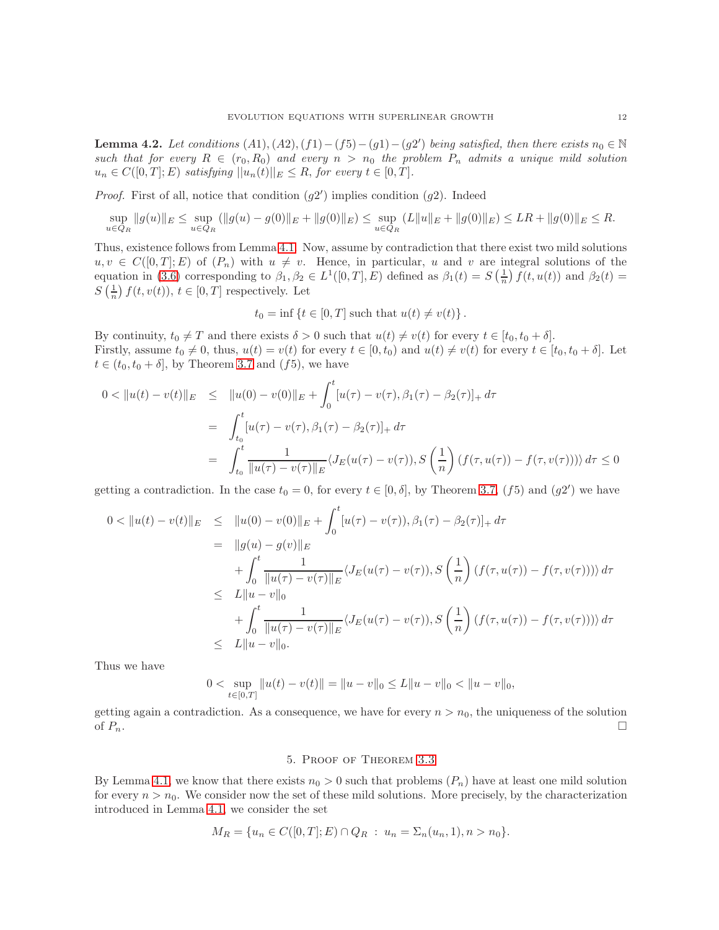<span id="page-11-1"></span>**Lemma 4.2.** Let conditions  $(A1), (A2), (f1) - (f5) - (g1) - (g2')$  being satisfied, then there exists  $n_0 \in \mathbb{N}$ such that for every  $R \in (r_0, R_0)$  and every  $n > n_0$  the problem  $P_n$  admits a unique mild solution  $u_n \in C([0,T]; E)$  satisfying  $||u_n(t)||_E \leq R$ , for every  $t \in [0,T]$ .

*Proof.* First of all, notice that condition  $(g2')$  implies condition  $(g2)$ . Indeed

$$
\sup_{u \in Q_R} \|g(u)\|_E \le \sup_{u \in Q_R} (\|g(u) - g(0)\|_E + \|g(0)\|_E) \le \sup_{u \in Q_R} (L\|u\|_E + \|g(0)\|_E) \le LR + \|g(0)\|_E \le R.
$$

Thus, existence follows from Lemma [4.1.](#page-8-2) Now, assume by contradiction that there exist two mild solutions  $u, v \in C([0,T]; E)$  of  $(P_n)$  with  $u \neq v$ . Hence, in particular, u and v are integral solutions of the equation in [\(3.6\)](#page-7-0) corresponding to  $\beta_1, \beta_2 \in L^1([0, T], E)$  defined as  $\beta_1(t) = S\left(\frac{1}{n}\right) f(t, u(t))$  and  $\beta_2(t) =$  $S\left(\frac{1}{n}\right)f(t,v(t)), t \in [0,T]$  respectively. Let

$$
t_0 = \inf \left\{ t \in [0, T] \text{ such that } u(t) \neq v(t) \right\}.
$$

By continuity,  $t_0 \neq T$  and there exists  $\delta > 0$  such that  $u(t) \neq v(t)$  for every  $t \in [t_0, t_0 + \delta]$ . Firstly, assume  $t_0 \neq 0$ , thus,  $u(t) = v(t)$  for every  $t \in [0, t_0)$  and  $u(t) \neq v(t)$  for every  $t \in [t_0, t_0 + \delta]$ . Let  $t \in (t_0, t_0 + \delta],$  by Theorem [3.7](#page-7-3) and  $(f5)$ , we have

$$
0 < \|u(t) - v(t)\|_{E} \leq \|u(0) - v(0)\|_{E} + \int_{0}^{t} [u(\tau) - v(\tau), \beta_{1}(\tau) - \beta_{2}(\tau)]_{+} d\tau
$$
\n
$$
= \int_{t_{0}}^{t} [u(\tau) - v(\tau), \beta_{1}(\tau) - \beta_{2}(\tau)]_{+} d\tau
$$
\n
$$
= \int_{t_{0}}^{t} \frac{1}{\|u(\tau) - v(\tau)\|_{E}} \langle J_{E}(u(\tau) - v(\tau)), S\left(\frac{1}{n}\right) (f(\tau, u(\tau)) - f(\tau, v(\tau))) \rangle d\tau \leq 0
$$

getting a contradiction. In the case  $t_0 = 0$ , for every  $t \in [0, \delta]$ , by Theorem [3.7,](#page-7-3) (f5) and (g2') we have

$$
0 < \|u(t) - v(t)\|_{E} \leq \|u(0) - v(0)\|_{E} + \int_{0}^{t} [u(\tau) - v(\tau)), \beta_{1}(\tau) - \beta_{2}(\tau)]_{+} d\tau
$$
\n
$$
= \|g(u) - g(v)\|_{E}
$$
\n
$$
+ \int_{0}^{t} \frac{1}{\|u(\tau) - v(\tau)\|_{E}} \langle J_{E}(u(\tau) - v(\tau)), S\left(\frac{1}{n}\right) (f(\tau, u(\tau)) - f(\tau, v(\tau))) \rangle d\tau
$$
\n
$$
\leq L \|u - v\|_{0}
$$
\n
$$
+ \int_{0}^{t} \frac{1}{\|u(\tau) - v(\tau)\|_{E}} \langle J_{E}(u(\tau) - v(\tau)), S\left(\frac{1}{n}\right) (f(\tau, u(\tau)) - f(\tau, v(\tau))) \rangle d\tau
$$
\n
$$
\leq L \|u - v\|_{0}.
$$

Thus we have

$$
0 < \sup_{t \in [0,T]} \|u(t) - v(t)\| = \|u - v\|_0 \le L \|u - v\|_0 < \|u - v\|_0,
$$

getting again a contradiction. As a consequence, we have for every  $n > n_0$ , the uniqueness of the solution of  $P_n$ .

## 5. Proof of Theorem [3.3](#page-7-1)

<span id="page-11-0"></span>By Lemma [4.1,](#page-8-2) we know that there exists  $n_0 > 0$  such that problems  $(P_n)$  have at least one mild solution for every  $n > n_0$ . We consider now the set of these mild solutions. More precisely, by the characterization introduced in Lemma [4.1,](#page-8-2) we consider the set

$$
M_R = \{u_n \in C([0, T]; E) \cap Q_R : u_n = \Sigma_n(u_n, 1), n > n_0\}.
$$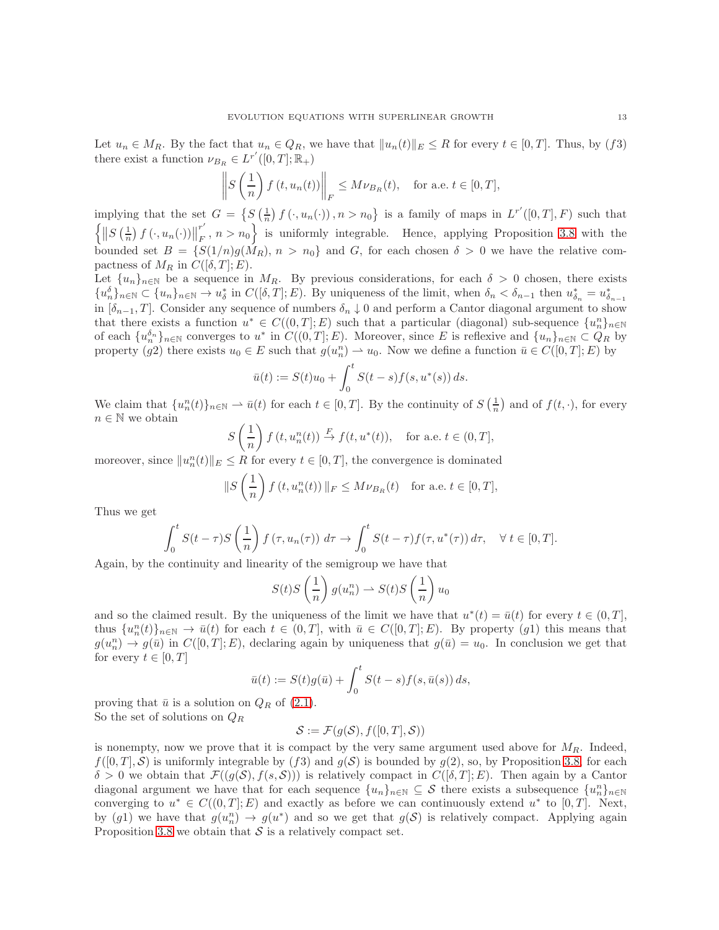Let  $u_n \in M_R$ . By the fact that  $u_n \in Q_R$ , we have that  $||u_n(t)||_E \leq R$  for every  $t \in [0, T]$ . Thus, by (f3) there exist a function  $\nu_{B_R} \in L^{r'}([0,T];\mathbb{R}_+)$ 

$$
\left\| S\left(\frac{1}{n}\right)f\left(t,u_n(t)\right) \right\|_F \le M\nu_{B_R}(t), \quad \text{for a.e. } t \in [0,T],
$$

implying that the set  $G = \left\{ S\left(\frac{1}{n}\right)f\left(\cdot, u_n(\cdot)\right), n > n_0 \right\}$  is a family of maps in  $L^{r'}([0,T], F)$  such that  $\left\{ \left\| S\left(\frac{1}{n}\right)f\left(\cdot,u_{n}(\cdot)\right)\right\| \right\}$ r  $\{F \mid F, n > n_0\}$  is uniformly integrable. Hence, applying Proposition [3.8](#page-8-1) with the bounded set  $B = \{S(1/n)g(M_R), n > n_0\}$  and G, for each chosen  $\delta > 0$  we have the relative compactness of  $M_R$  in  $C([\delta, T]; E)$ .

Let  $\{u_n\}_{n\in\mathbb{N}}$  be a sequence in  $M_R$ . By previous considerations, for each  $\delta > 0$  chosen, there exists  ${u_n^{\delta}}_{n \in \mathbb{N}} \subset {u_n}_{n \in \mathbb{N}} \to u_{\delta}^*$  in  $C([\delta, T]; E)$ . By uniqueness of the limit, when  $\delta_n < \delta_{n-1}$  then  $u_{\delta_n}^* = u_{\delta_{n-1}}^*$ in  $[\delta_{n-1}, T]$ . Consider any sequence of numbers  $\delta_n \downarrow 0$  and perform a Cantor diagonal argument to show that there exists a function  $u^* \in C((0,T];E)$  such that a particular (diagonal) sub-sequence  $\{u_n^n\}_{n\in\mathbb{N}}$ of each  $\{u_n^{\delta_n}\}_{n\in\mathbb{N}}$  converges to  $u^*$  in  $C((0,T];E)$ . Moreover, since E is reflexive and  $\{u_n\}_{n\in\mathbb{N}}\subset Q_R$  by property (g2) there exists  $u_0 \in E$  such that  $g(u_n^n) \to u_0$ . Now we define a function  $\bar{u} \in C([0,T]; E)$  by

$$
\bar{u}(t) := S(t)u_0 + \int_0^t S(t-s)f(s, u^*(s)) ds.
$$

We claim that  $\{u_n^n(t)\}_{n\in\mathbb{N}} \to \bar{u}(t)$  for each  $t \in [0,T]$ . By the continuity of  $S\left(\frac{1}{n}\right)$  and of  $f(t, \cdot)$ , for every  $n\in\mathbb{N}$  we obtain

$$
S\left(\frac{1}{n}\right)f\left(t,u_n^n(t)\right) \stackrel{F}{\to} f(t,u^*(t)), \quad \text{for a.e. } t \in (0,T],
$$

moreover, since  $||u_n^n(t)||_E \leq R$  for every  $t \in [0, T]$ , the convergence is dominated

$$
S\left(\frac{1}{n}\right)f\left(t,u_n^n(t)\right)\|_F\leq M\nu_{B_R}(t) \quad \text{for a.e. } t\in[0,T],
$$

Thus we get

$$
\int_0^t S(t-\tau)S\left(\frac{1}{n}\right)f\left(\tau, u_n(\tau)\right) d\tau \to \int_0^t S(t-\tau)f(\tau, u^*(\tau)) d\tau, \quad \forall \ t \in [0, T].
$$

Again, by the continuity and linearity of the semigroup we have that

 $\parallel$ 

$$
S(t)S\left(\frac{1}{n}\right)g(u_n^n) \to S(t)S\left(\frac{1}{n}\right)u_0
$$

and so the claimed result. By the uniqueness of the limit we have that  $u^*(t) = \bar{u}(t)$  for every  $t \in (0, T]$ , thus  $\{u_n^n(t)\}_{n\in\mathbb{N}} \to \bar{u}(t)$  for each  $t \in (0,T]$ , with  $\bar{u} \in C([0,T];E)$ . By property  $(g1)$  this means that  $g(u_n^n) \to g(\bar{u})$  in  $C([0,T]; E)$ , declaring again by uniqueness that  $g(\bar{u}) = u_0$ . In conclusion we get that for every  $t \in [0, T]$ 

$$
\bar{u}(t) := S(t)g(\bar{u}) + \int_0^t S(t-s)f(s,\bar{u}(s)) ds,
$$

proving that  $\bar{u}$  is a solution on  $Q_R$  of [\(2.1\)](#page-2-1). So the set of solutions on  $Q_R$ 

$$
\mathcal{S} := \mathcal{F}(g(\mathcal{S}), f([0, T], \mathcal{S}))
$$

is nonempty, now we prove that it is compact by the very same argument used above for  $M_R$ . Indeed,  $f([0,T],\mathcal{S})$  is uniformly integrable by  $(f3)$  and  $g(\mathcal{S})$  is bounded by  $g(2)$ , so, by Proposition [3.8,](#page-8-1) for each  $\delta > 0$  we obtain that  $\mathcal{F}((g(\mathcal{S}), f(s, \mathcal{S})))$  is relatively compact in  $C([\delta, T]; E)$ . Then again by a Cantor diagonal argument we have that for each sequence  $\{u_n\}_{n\in\mathbb{N}}\subseteq S$  there exists a subsequence  $\{u_n^n\}_{n\in\mathbb{N}}$ converging to  $u^* \in C((0,T]; E)$  and exactly as before we can continuously extend  $u^*$  to [0, T]. Next, by (g1) we have that  $g(u_n^n) \to g(u^*)$  and so we get that  $g(\mathcal{S})$  is relatively compact. Applying again Proposition [3.8](#page-8-1) we obtain that  $S$  is a relatively compact set.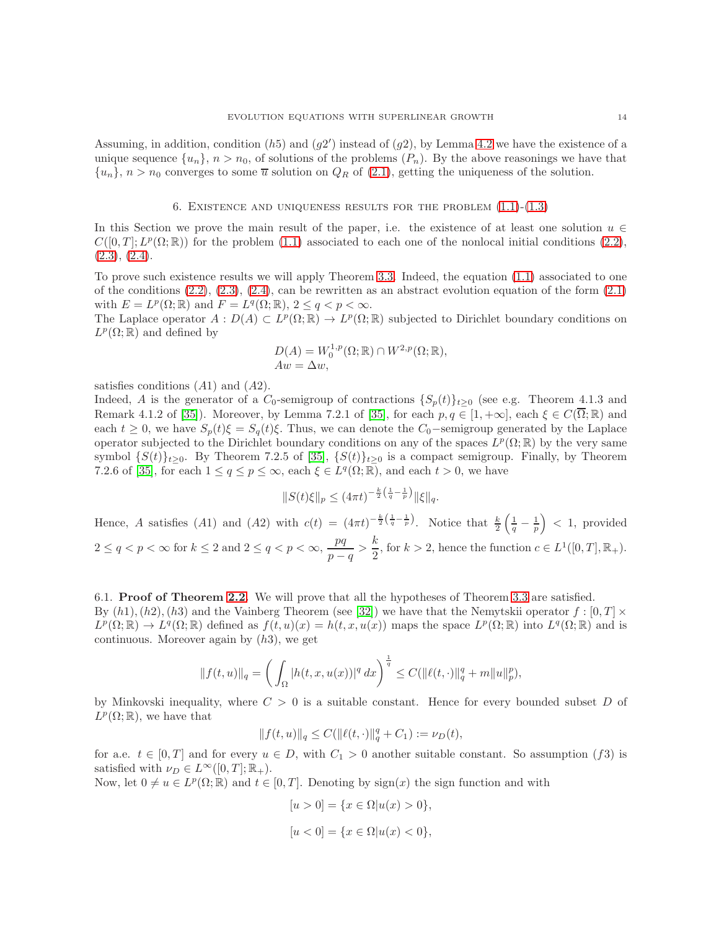Assuming, in addition, condition  $(h5)$  and  $(g2')$  instead of  $(g2)$ , by Lemma [4.2](#page-11-1) we have the existence of a unique sequence  $\{u_n\}, n > n_0$ , of solutions of the problems  $(P_n)$ . By the above reasonings we have that  $\{u_n\}, n > n_0$  converges to some  $\overline{u}$  solution on  $Q_R$  of [\(2.1\)](#page-2-1), getting the uniqueness of the solution.

### 6. EXISTENCE AND UNIQUENESS RESULTS FOR THE PROBLEM  $(1.1)$ - $(1.3)$

<span id="page-13-0"></span>In this Section we prove the main result of the paper, i.e. the existence of at least one solution  $u \in$  $C([0,T]; L^p(\Omega;\mathbb{R}))$  for the problem [\(1.1\)](#page-0-0) associated to each one of the nonlocal initial conditions [\(2.2\)](#page-4-0),  $(2.3), (2.4).$  $(2.3), (2.4).$  $(2.3), (2.4).$  $(2.3), (2.4).$ 

To prove such existence results we will apply Theorem [3.3.](#page-7-1) Indeed, the equation [\(1.1\)](#page-0-0) associated to one of the conditions  $(2.2), (2.3), (2.4),$  $(2.2), (2.3), (2.4),$  $(2.2), (2.3), (2.4),$  $(2.2), (2.3), (2.4),$  $(2.2), (2.3), (2.4),$  can be rewritten as an abstract evolution equation of the form  $(2.1)$ with  $E = L^p(\Omega; \mathbb{R})$  and  $F = L^q(\Omega; \mathbb{R}), 2 \leq q < p < \infty$ .

The Laplace operator  $A: D(A) \subset L^p(\Omega;\mathbb{R}) \to L^p(\Omega;\mathbb{R})$  subjected to Dirichlet boundary conditions on  $L^p(\Omega;\mathbb{R})$  and defined by

$$
D(A) = W_0^{1,p}(\Omega; \mathbb{R}) \cap W^{2,p}(\Omega; \mathbb{R}),
$$
  
 
$$
Aw = \Delta w,
$$

satisfies conditions  $(A1)$  and  $(A2)$ .

Indeed, A is the generator of a  $C_0$ -semigroup of contractions  $\{S_p(t)\}_{t\geq0}$  (see e.g. Theorem 4.1.3 and Remark 4.1.2 of [\[35\]](#page-20-15)). Moreover, by Lemma 7.2.1 of [35], for each  $p, q \in [1, +\infty]$ , each  $\xi \in C(\overline{\Omega}; \mathbb{R})$  and each  $t \geq 0$ , we have  $S_p(t)\xi = S_q(t)\xi$ . Thus, we can denote the  $C_0$ -semigroup generated by the Laplace operator subjected to the Dirichlet boundary conditions on any of the spaces  $L^p(\Omega;\mathbb{R})$  by the very same symbol  $\{S(t)\}_t$ >0. By Theorem 7.2.5 of [\[35\]](#page-20-15),  $\{S(t)\}_t$ >0 is a compact semigroup. Finally, by Theorem 7.2.6 of [\[35\]](#page-20-15), for each  $1 \le q \le p \le \infty$ , each  $\xi \in L^q(\Omega;\mathbb{R})$ , and each  $t > 0$ , we have

$$
||S(t)\xi||_p \le (4\pi t)^{-\frac{k}{2}\left(\frac{1}{q} - \frac{1}{p}\right)} ||\xi||_q.
$$

Hence, A satisfies (A1) and (A2) with  $c(t) = (4\pi t)^{-\frac{k}{2}(\frac{1}{q}-\frac{1}{p})}$ . Notice that  $\frac{k}{2}(\frac{1}{q}-\frac{1}{p}) < 1$ , provided  $2 \le q < p < \infty$  for  $k \le 2$  and  $2 \le q < p < \infty$ ,  $\frac{pq}{p}$  $\frac{pq}{p-q} > \frac{k}{2}$  $\frac{\kappa}{2}$ , for  $k > 2$ , hence the function  $c \in L^1([0, T], \mathbb{R}_+).$ 

6.1. Proof of Theorem [2.2.](#page-4-4) We will prove that all the hypotheses of Theorem [3.3](#page-7-1) are satisfied. By  $(h1), (h2), (h3)$  and the Vainberg Theorem (see [\[32\]](#page-20-6)) we have that the Nemytskii operator  $f : [0, T] \times$  $L^p(\Omega;\mathbb{R}) \to L^q(\Omega;\mathbb{R})$  defined as  $f(t,u)(x) = h(t,x,u(x))$  maps the space  $L^p(\Omega;\mathbb{R})$  into  $L^q(\Omega;\mathbb{R})$  and is continuous. Moreover again by  $(h3)$ , we get

$$
||f(t, u)||_q = \left(\int_{\Omega} |h(t, x, u(x))|^q dx\right)^{\frac{1}{q}} \le C(||\ell(t, \cdot)||_q^q + m||u||_p^p),
$$

by Minkovski inequality, where  $C > 0$  is a suitable constant. Hence for every bounded subset D of  $L^p(\Omega;\mathbb{R})$ , we have that

$$
||f(t, u)||_q \le C(||\ell(t, \cdot)||_q^q + C_1) := \nu_D(t),
$$

for a.e.  $t \in [0, T]$  and for every  $u \in D$ , with  $C_1 > 0$  another suitable constant. So assumption (f3) is satisfied with  $\nu_D \in L^{\infty}([0, T]; \mathbb{R}_+).$ 

Now, let  $0 \neq u \in L^p(\Omega; \mathbb{R})$  and  $t \in [0, T]$ . Denoting by sign(x) the sign function and with

$$
[u > 0] = \{x \in \Omega | u(x) > 0\},\
$$
  

$$
[u < 0] = \{x \in \Omega | u(x) < 0\},\
$$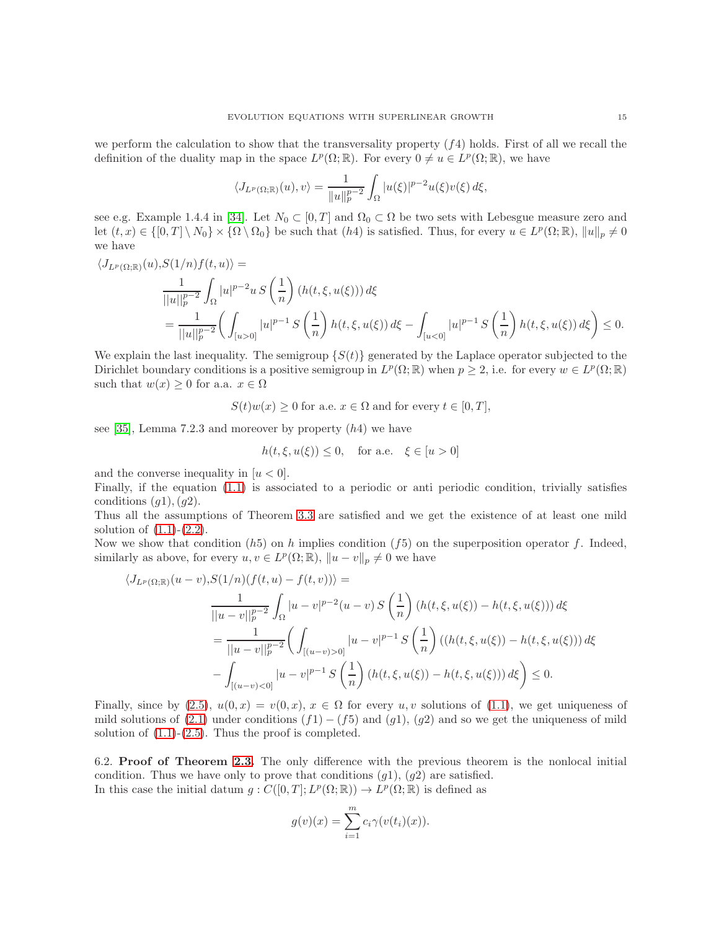we perform the calculation to show that the transversality property  $(f4)$  holds. First of all we recall the definition of the duality map in the space  $L^p(\Omega;\mathbb{R})$ . For every  $0 \neq u \in L^p(\Omega;\mathbb{R})$ , we have

$$
\langle J_{L^p(\Omega;\mathbb{R})}(u),v\rangle = \frac{1}{\|u\|_p^{p-2}} \int_{\Omega} |u(\xi)|^{p-2} u(\xi)v(\xi) d\xi,
$$

see e.g. Example 1.4.4 in [\[34\]](#page-20-14). Let  $N_0 \subset [0, T]$  and  $\Omega_0 \subset \Omega$  be two sets with Lebesgue measure zero and let  $(t, x) \in \{[0, T] \setminus N_0\} \times \{ \Omega \setminus \Omega_0\}$  be such that  $(h4)$  is satisfied. Thus, for every  $u \in L^p(\Omega; \mathbb{R})$ ,  $||u||_p \neq 0$ we have

$$
\langle J_{L^p(\Omega;\mathbb{R})}(u), S(1/n)f(t, u)\rangle =
$$
  
\n
$$
\frac{1}{||u||_p^{p-2}} \int_{\Omega} |u|^{p-2} u S\left(\frac{1}{n}\right) (h(t, \xi, u(\xi))) d\xi
$$
  
\n
$$
= \frac{1}{||u||_p^{p-2}} \left( \int_{[u>0]} |u|^{p-1} S\left(\frac{1}{n}\right) h(t, \xi, u(\xi)) d\xi - \int_{[u<0]} |u|^{p-1} S\left(\frac{1}{n}\right) h(t, \xi, u(\xi)) d\xi \right) \leq 0.
$$

We explain the last inequality. The semigroup  $\{S(t)\}\$  generated by the Laplace operator subjected to the Dirichlet boundary conditions is a positive semigroup in  $L^p(\Omega;\mathbb{R})$  when  $p \geq 2$ , i.e. for every  $w \in L^p(\Omega;\mathbb{R})$ such that  $w(x) \geq 0$  for a.a.  $x \in \Omega$ 

 $S(t)w(x) \geq 0$  for a.e.  $x \in \Omega$  and for every  $t \in [0, T]$ ,

see [\[35\]](#page-20-15), Lemma 7.2.3 and moreover by property  $(h4)$  we have

$$
h(t, \xi, u(\xi)) \le 0, \quad \text{for a.e.} \quad \xi \in [u > 0]
$$

and the converse inequality in  $[u < 0]$ .

Finally, if the equation [\(1.1\)](#page-0-0) is associated to a periodic or anti periodic condition, trivially satisfies conditions  $(q1), (q2)$ .

Thus all the assumptions of Theorem [3.3](#page-7-1) are satisfied and we get the existence of at least one mild solution of  $(1.1)-(2.2)$  $(1.1)-(2.2)$ .

Now we show that condition  $(h5)$  on h implies condition  $(f5)$  on the superposition operator f. Indeed, similarly as above, for every  $u, v \in L^p(\Omega; \mathbb{R}), ||u - v||_p \neq 0$  we have

$$
\langle J_{L^p(\Omega;\mathbb{R})}(u-v), S(1/n)(f(t,u) - f(t,v)) \rangle =
$$
  

$$
\frac{1}{||u-v||_p^{p-2}} \int_{\Omega} |u-v|^{p-2}(u-v) S\left(\frac{1}{n}\right) (h(t,\xi,u(\xi)) - h(t,\xi,u(\xi))) d\xi
$$
  

$$
= \frac{1}{||u-v||_p^{p-2}} \left( \int_{[(u-v)>0]} |u-v|^{p-1} S\left(\frac{1}{n}\right) ((h(t,\xi,u(\xi)) - h(t,\xi,u(\xi))) d\xi
$$
  

$$
- \int_{[(u-v)<0]} |u-v|^{p-1} S\left(\frac{1}{n}\right) (h(t,\xi,u(\xi)) - h(t,\xi,u(\xi))) d\xi \right) \leq 0.
$$

Finally, since by [\(2.5\)](#page-4-1),  $u(0, x) = v(0, x)$ ,  $x \in \Omega$  for every u, v solutions of [\(1.1\)](#page-0-0), we get uniqueness of mild solutions of  $(2.1)$  under conditions  $(f1) - (f5)$  and  $(g1)$ ,  $(g2)$  and so we get the uniqueness of mild solution of  $(1.1)-(2.5)$  $(1.1)-(2.5)$ . Thus the proof is completed.

6.2. Proof of Theorem [2.3.](#page-4-5) The only difference with the previous theorem is the nonlocal initial condition. Thus we have only to prove that conditions  $(g1)$ ,  $(g2)$  are satisfied. In this case the initial datum  $g: C([0,T]; L^p(\Omega;\mathbb{R})) \to L^p(\Omega;\mathbb{R})$  is defined as

$$
g(v)(x) = \sum_{i=1}^{m} c_i \gamma(v(t_i)(x)).
$$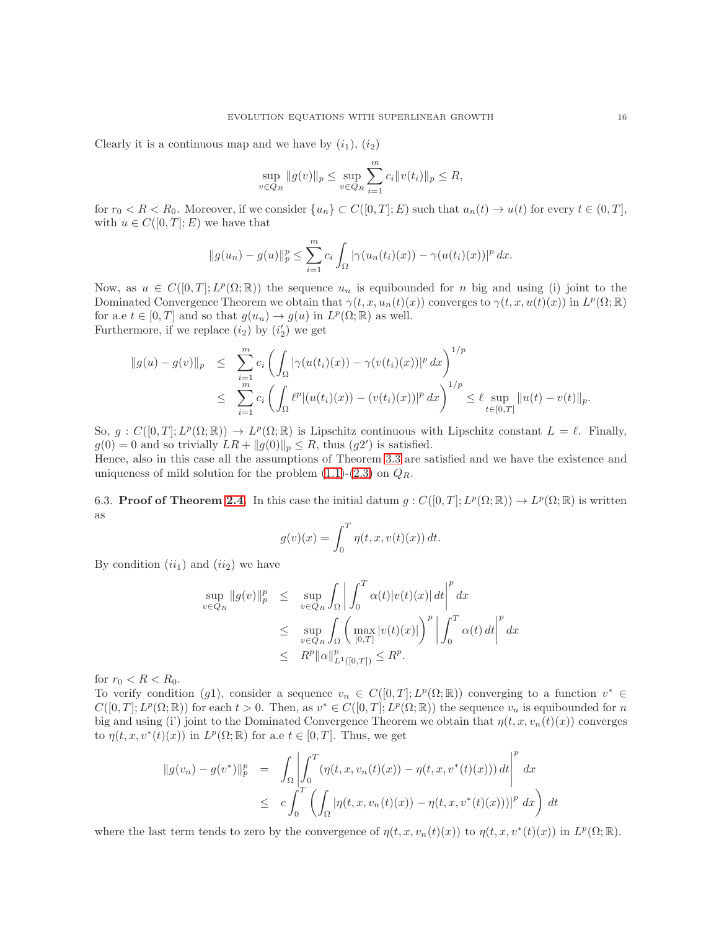Clearly it is a continuous map and we have by  $(i_1), (i_2)$ 

$$
\sup_{v \in Q_R} \|g(v)\|_p \le \sup_{v \in Q_R} \sum_{i=1}^m c_i \|v(t_i)\|_p \le R,
$$

for  $r_0 < R < R_0$ . Moreover, if we consider  $\{u_n\} \subset C([0,T];E)$  such that  $u_n(t) \to u(t)$  for every  $t \in (0,T]$ , with  $u \in C([0,T];E)$  we have that

$$
||g(u_n) - g(u)||_p^p \le \sum_{i=1}^m c_i \int_{\Omega} |\gamma(u_n(t_i)(x)) - \gamma(u(t_i)(x))|^p dx.
$$

Now, as  $u \in C([0,T]; L^p(\Omega;\mathbb{R}))$  the sequence  $u_n$  is equibounded for n big and using (i) joint to the Dominated Convergence Theorem we obtain that  $\gamma(t, x, u_n(t)(x))$  converges to  $\gamma(t, x, u(t)(x))$  in  $L^p(\Omega; \mathbb{R})$ for a.e  $t \in [0, T]$  and so that  $g(u_n) \to g(u)$  in  $L^p(\Omega; \mathbb{R})$  as well. Furthermore, if we replace  $(i_2)$  by  $(i'_2)$  we get

$$
||g(u) - g(v)||_p \leq \sum_{i=1}^m c_i \left( \int_{\Omega} |\gamma(u(t_i)(x)) - \gamma(v(t_i)(x))|^p dx \right)^{1/p}
$$
  

$$
\leq \sum_{i=1}^m c_i \left( \int_{\Omega} \ell^p |(u(t_i)(x)) - (v(t_i)(x))|^p dx \right)^{1/p} \leq \ell \sup_{t \in [0,T]} ||u(t) - v(t)||_p.
$$

So,  $g: C([0,T]; L^p(\Omega;\mathbb{R})) \to L^p(\Omega;\mathbb{R})$  is Lipschitz continuous with Lipschitz constant  $L = \ell$ . Finally,  $g(0) = 0$  and so trivially  $LR + ||g(0)||_p \leq R$ , thus  $(g2')$  is satisfied.

Hence, also in this case all the assumptions of Theorem [3.3](#page-7-1) are satisfied and we have the existence and uniqueness of mild solution for the problem  $(1.1)-(2.3)$  $(1.1)-(2.3)$  on  $Q_R$ .

6.3. **Proof of Theorem [2.4.](#page-4-6)** In this case the initial datum  $g: C([0, T]; L^p(\Omega; \mathbb{R})) \to L^p(\Omega; \mathbb{R})$  is written as

$$
g(v)(x) = \int_0^T \eta(t, x, v(t)(x)) dt.
$$

By condition  $(ii<sub>1</sub>)$  and  $(ii<sub>2</sub>)$  we have

$$
\sup_{v \in Q_R} \|g(v)\|_p^p \leq \sup_{v \in Q_R} \int_{\Omega} \left| \int_0^T \alpha(t) |v(t)(x)| dt \right|^p dx
$$
  
\n
$$
\leq \sup_{v \in Q_R} \int_{\Omega} \left( \max_{[0,T]} |v(t)(x)| \right)^p \left| \int_0^T \alpha(t) dt \right|^p dx
$$
  
\n
$$
\leq R^p ||\alpha||_{L^1([0,T])}^p \leq R^p.
$$

for  $r_0 < R < R_0$ .

To verify condition (g1), consider a sequence  $v_n \in C([0,T]; L^p(\Omega;\mathbb{R}))$  converging to a function  $v^* \in$  $C([0,T];L^p(\Omega;\mathbb{R}))$  for each  $t>0$ . Then, as  $v^*\in C([0,T];L^p(\Omega;\mathbb{R}))$  the sequence  $v_n$  is equibounded for n big and using (i') joint to the Dominated Convergence Theorem we obtain that  $\eta(t, x, v_n(t)(x))$  converges to  $\eta(t, x, v^*(t)(x))$  in  $L^p(\Omega; \mathbb{R})$  for a.e  $t \in [0, T]$ . Thus, we get

$$
\|g(v_n) - g(v^*)\|_p^p = \int_{\Omega} \left| \int_0^T (\eta(t, x, v_n(t)(x)) - \eta(t, x, v^*(t)(x))) dt \right|^p dx
$$
  

$$
\leq c \int_0^T \left( \int_{\Omega} |\eta(t, x, v_n(t)(x)) - \eta(t, x, v^*(t)(x)))|^p dx \right) dt
$$

where the last term tends to zero by the convergence of  $\eta(t, x, v_n(t)(x))$  to  $\eta(t, x, v^*(t)(x))$  in  $L^p(\Omega; \mathbb{R})$ .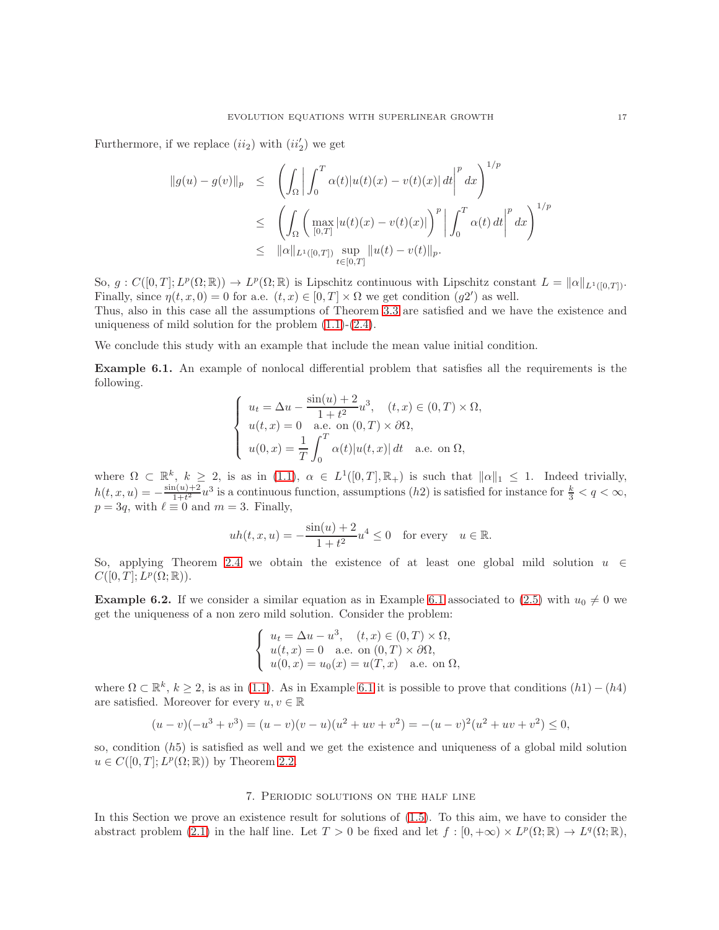Furthermore, if we replace  $(ii_2)$  with  $(ii'_2)$  we get

$$
\|g(u) - g(v)\|_{p} \leq \left( \int_{\Omega} \left| \int_{0}^{T} \alpha(t) |u(t)(x) - v(t)(x)| dt \right|^{p} dx \right)^{1/p}
$$
  

$$
\leq \left( \int_{\Omega} \left( \max_{[0,T]} |u(t)(x) - v(t)(x)| \right)^{p} \left| \int_{0}^{T} \alpha(t) dt \right|^{p} dx \right)^{1/p}
$$
  

$$
\leq ||\alpha||_{L^{1}([0,T])} \sup_{t \in [0,T]} ||u(t) - v(t)||_{p}.
$$

So,  $g: C([0,T]; L^p(\Omega;\mathbb{R})) \to L^p(\Omega;\mathbb{R})$  is Lipschitz continuous with Lipschitz constant  $L = ||\alpha||_{L^1([0,T])}$ . Finally, since  $\eta(t, x, 0) = 0$  for a.e.  $(t, x) \in [0, T] \times \Omega$  we get condition  $(g2')$  as well.

Thus, also in this case all the assumptions of Theorem [3.3](#page-7-1) are satisfied and we have the existence and uniqueness of mild solution for the problem  $(1.1)-(2.4)$  $(1.1)-(2.4)$ .

We conclude this study with an example that include the mean value initial condition.

<span id="page-16-0"></span>Example 6.1. An example of nonlocal differential problem that satisfies all the requirements is the following.

$$
\begin{cases}\n u_t = \Delta u - \frac{\sin(u) + 2}{1 + t^2} u^3, & (t, x) \in (0, T) \times \Omega, \\
 u(t, x) = 0 \quad \text{a.e. on } (0, T) \times \partial\Omega, \\
 u(0, x) = \frac{1}{T} \int_0^T \alpha(t) |u(t, x)| dt \quad \text{a.e. on } \Omega,\n\end{cases}
$$

where  $\Omega \subset \mathbb{R}^k$ ,  $k \geq 2$ , is as in [\(1.1\)](#page-0-0),  $\alpha \in L^1([0,T], \mathbb{R}_+)$  is such that  $\|\alpha\|_1 \leq 1$ . Indeed trivially,  $h(t, x, u) = -\frac{\sin(u)+2}{1+t^2}$  $\frac{a(u)+2}{1+t^2}u^3$  is a continuous function, assumptions  $(h2)$  is satisfied for instance for  $\frac{k}{3} < q < \infty$ ,  $p = 3q$ , with  $\ell \equiv 0$  and  $m = 3$ . Finally,

$$
uh(t, x, u) = -\frac{\sin(u) + 2}{1 + t^2}u^4 \le 0
$$
 for every  $u \in \mathbb{R}$ .

So, applying Theorem [2.4](#page-4-6) we obtain the existence of at least one global mild solution  $u \in$  $C([0,T];L^p(\Omega;\mathbb{R})).$ 

**Example 6.2.** If we consider a similar equation as in Example [6.1](#page-16-0) associated to [\(2.5\)](#page-4-1) with  $u_0 \neq 0$  we get the uniqueness of a non zero mild solution. Consider the problem:

$$
\begin{cases}\n u_t = \Delta u - u^3, & (t, x) \in (0, T) \times \Omega, \\
 u(t, x) = 0 \quad \text{a.e. on } (0, T) \times \partial\Omega, \\
 u(0, x) = u_0(x) = u(T, x) \quad \text{a.e. on } \Omega,\n\end{cases}
$$

where  $\Omega \subset \mathbb{R}^k$ ,  $k \geq 2$ , is as in [\(1.1\)](#page-0-0). As in Example [6.1](#page-16-0) it is possible to prove that conditions  $(h1) - (h4)$ are satisfied. Moreover for every  $u, v \in \mathbb{R}$ 

$$
(u-v)(-u3 + v3) = (u-v)(v-u)(u2 + uv + v2) = -(u-v)2(u2 + uv + v2) \le 0,
$$

so, condition  $(h5)$  is satisfied as well and we get the existence and uniqueness of a global mild solution  $u \in C([0, T]; L^p(\Omega; \mathbb{R}))$  by Theorem [2.2.](#page-4-4)

# 7. Periodic solutions on the half line

<span id="page-16-1"></span>In this Section we prove an existence result for solutions of [\(1.5\)](#page-2-0). To this aim, we have to consider the abstract problem [\(2.1\)](#page-2-1) in the half line. Let  $T > 0$  be fixed and let  $f : [0, +\infty) \times L^p(\Omega; \mathbb{R}) \to L^q(\Omega; \mathbb{R})$ ,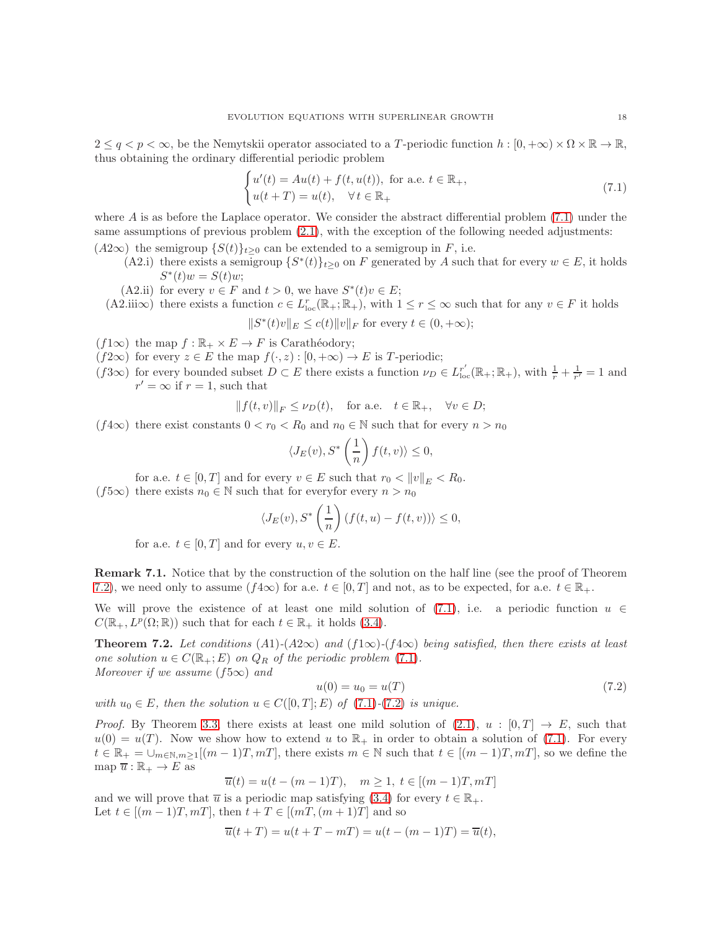$2 \le q < p < \infty$ , be the Nemytskii operator associated to a T-periodic function  $h : [0, +\infty) \times \Omega \times \mathbb{R} \to \mathbb{R}$ , thus obtaining the ordinary differential periodic problem

<span id="page-17-0"></span>
$$
\begin{cases}\nu'(t) = Au(t) + f(t, u(t)), \text{ for a.e. } t \in \mathbb{R}_+, \\
u(t + T) = u(t), \quad \forall t \in \mathbb{R}_+\n\end{cases}
$$
\n(7.1)

where  $A$  is as before the Laplace operator. We consider the abstract differential problem  $(7.1)$  under the same assumptions of previous problem [\(2.1\)](#page-2-1), with the exception of the following needed adjustments:

- $(A2\infty)$  the semigroup  $\{S(t)\}_{t\geq0}$  can be extended to a semigroup in F, i.e.
	- (A2.i) there exists a semigroup  $\{S^*(t)\}_{t\geq 0}$  on F generated by A such that for every  $w \in E$ , it holds  $S^*(t)w = S(t)w;$
	- (A2.ii) for every  $v \in F$  and  $t > 0$ , we have  $S^*(t)v \in E$ ;
	- $(A2.iii\infty)$  there exists a function  $c \in L_{loc}^r(\mathbb{R}_+;\mathbb{R}_+)$ , with  $1 \leq r \leq \infty$  such that for any  $v \in F$  it holds  $||S^*(t)v||_E \le c(t) ||v||_F$  for every  $t \in (0, +\infty);$

 $(f1\infty)$  the map  $f : \mathbb{R}_+ \times E \to F$  is Carathéodory;

- $(f2\infty)$  for every  $z \in E$  the map  $f(\cdot, z) : [0, +\infty) \to E$  is T-periodic;
- $(f3\infty)$  for every bounded subset  $D \subset E$  there exists a function  $\nu_D \in L_{loc}^{r'}(\mathbb{R}_+;\mathbb{R}_+)$ , with  $\frac{1}{r} + \frac{1}{r'} = 1$  and  $r' = \infty$  if  $r = 1$ , such that

$$
|| f(t, v) ||_F \le \nu_D(t), \quad \text{for a.e.} \quad t \in \mathbb{R}_+, \quad \forall v \in D;
$$

(f4∞) there exist constants  $0 < r_0 < R_0$  and  $n_0 \in \mathbb{N}$  such that for every  $n > n_0$ 

$$
\langle J_E(v), S^*\left(\frac{1}{n}\right) f(t, v) \rangle \le 0,
$$

for a.e.  $t \in [0, T]$  and for every  $v \in E$  such that  $r_0 < ||v||_E < R_0$ .

(f5∞) there exists  $n_0 \in \mathbb{N}$  such that for everyfor every  $n > n_0$ 

$$
\langle J_E(v), S^*\left(\frac{1}{n}\right) (f(t, u) - f(t, v))\rangle \le 0,
$$

for a.e.  $t \in [0, T]$  and for every  $u, v \in E$ .

Remark 7.1. Notice that by the construction of the solution on the half line (see the proof of Theorem [7.2\)](#page-17-1), we need only to assume  $(f4\infty)$  for a.e.  $t \in [0,T]$  and not, as to be expected, for a.e.  $t \in \mathbb{R}_+$ .

We will prove the existence of at least one mild solution of [\(7.1\)](#page-17-0), i.e. a periodic function  $u \in$  $C(\mathbb{R}_+, L^p(\Omega;\mathbb{R}))$  such that for each  $t \in \mathbb{R}_+$  it holds [\(3.4\)](#page-6-1).

<span id="page-17-1"></span>**Theorem 7.2.** Let conditions  $(A1)-(A2\infty)$  and  $(f1\infty)-(f4\infty)$  being satisfied, then there exists at least one solution  $u \in C(\mathbb{R}_+; E)$  on  $Q_R$  of the periodic problem [\(7.1\)](#page-17-0). Moreover if we assume  $(f5\infty)$  and

<span id="page-17-2"></span>
$$
u(0) = u_0 = u(T) \tag{7.2}
$$

with  $u_0 \in E$ , then the solution  $u \in C([0, T]; E)$  of  $(7.1)-(7.2)$  $(7.1)-(7.2)$  $(7.1)-(7.2)$  is unique.

*Proof.* By Theorem [3.3,](#page-7-1) there exists at least one mild solution of  $(2.1)$ ,  $u : [0, T] \rightarrow E$ , such that  $u(0) = u(T)$ . Now we show how to extend u to  $\mathbb{R}_+$  in order to obtain a solution of [\(7.1\)](#page-17-0). For every  $t \in \mathbb{R}_+ = \bigcup_{m \in \mathbb{N}, m \geq 1} [(m-1)T, m]$ , there exists  $m \in \mathbb{N}$  such that  $t \in [(m-1)T, m]$ , so we define the map  $\overline{u} : \mathbb{R}_+ \to E$  as

$$
\overline{u}(t) = u(t - (m-1)T), \quad m \ge 1, t \in [(m-1)T, m]
$$

and we will prove that  $\overline{u}$  is a periodic map satisfying [\(3.4\)](#page-6-1) for every  $t \in \mathbb{R}_+$ . Let  $t \in [(m-1)T, mT]$ , then  $t + T \in [(mT, (m+1)T]$  and so

$$
\overline{u}(t+T)=u(t+T-mT)=u(t-(m-1)T)=\overline{u}(t),
$$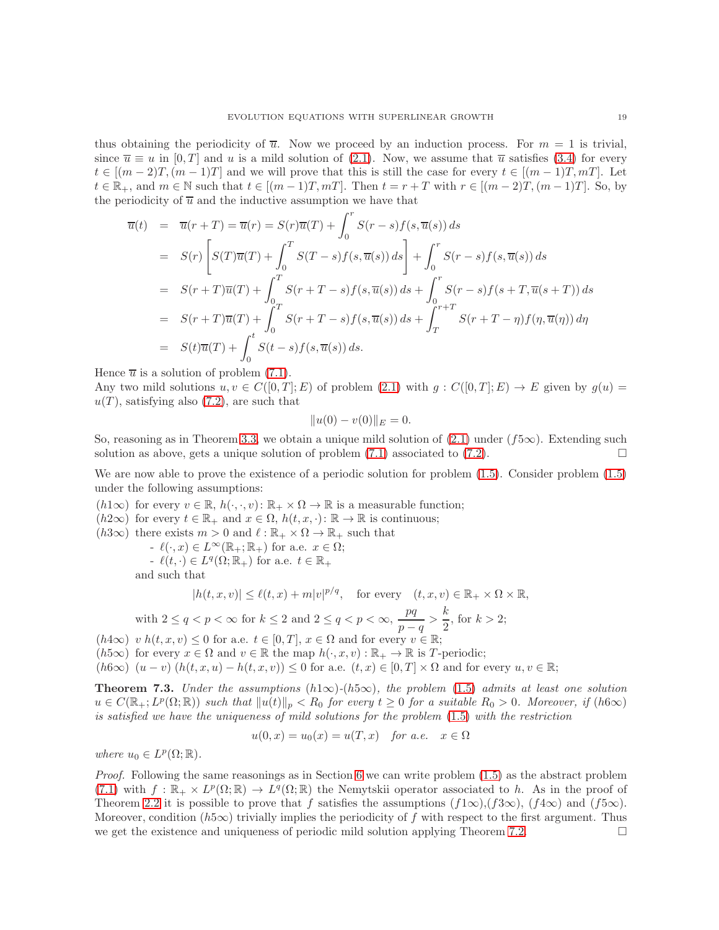thus obtaining the periodicity of  $\overline{u}$ . Now we proceed by an induction process. For  $m = 1$  is trivial, since  $\overline{u} \equiv u$  in [0, T] and u is a mild solution of [\(2.1\)](#page-2-1). Now, we assume that  $\overline{u}$  satisfies [\(3.4\)](#page-6-1) for every  $t \in [(m-2)T,(m-1)T]$  and we will prove that this is still the case for every  $t \in [(m-1)T,mT]$ . Let  $t \in \mathbb{R}_+$ , and  $m \in \mathbb{N}$  such that  $t \in [(m-1)T, mT]$ . Then  $t = r + T$  with  $r \in [(m-2)T, (m-1)T]$ . So, by the periodicity of  $\overline{u}$  and the inductive assumption we have that

$$
\overline{u}(t) = \overline{u}(r+T) = \overline{u}(r) = S(r)\overline{u}(T) + \int_0^r S(r-s)f(s,\overline{u}(s)) ds
$$
  
\n
$$
= S(r)\left[S(T)\overline{u}(T) + \int_0^T S(T-s)f(s,\overline{u}(s)) ds\right] + \int_0^r S(r-s)f(s,\overline{u}(s)) ds
$$
  
\n
$$
= S(r+T)\overline{u}(T) + \int_0^T S(r+T-s)f(s,\overline{u}(s)) ds + \int_0^r S(r-s)f(s+T,\overline{u}(s+T)) ds
$$
  
\n
$$
= S(r+T)\overline{u}(T) + \int_0^T S(r+T-s)f(s,\overline{u}(s)) ds + \int_T^{r+T} S(r+T-\eta)f(\eta,\overline{u}(\eta)) d\eta
$$
  
\n
$$
= S(t)\overline{u}(T) + \int_0^t S(t-s)f(s,\overline{u}(s)) ds.
$$

Hence  $\overline{u}$  is a solution of problem [\(7.1\)](#page-17-0).

Any two mild solutions  $u, v \in C([0,T]; E)$  of problem  $(2.1)$  with  $g: C([0,T]; E) \to E$  given by  $g(u) =$  $u(T)$ , satisfying also [\(7.2\)](#page-17-2), are such that

$$
||u(0) - v(0)||_E = 0.
$$

So, reasoning as in Theorem [3.3,](#page-7-1) we obtain a unique mild solution of  $(2.1)$  under  $(f5\infty)$ . Extending such solution as above, gets a unique solution of problem  $(7.1)$  associated to  $(7.2)$ .

We are now able to prove the existence of a periodic solution for problem [\(1.5\)](#page-2-0). Consider problem [\(1.5\)](#page-2-0) under the following assumptions:

- $(h1\infty)$  for every  $v \in \mathbb{R}$ ,  $h(\cdot, \cdot, v)$ :  $\mathbb{R}_+ \times \Omega \to \mathbb{R}$  is a measurable function;
- $(h2\infty)$  for every  $t \in \mathbb{R}_+$  and  $x \in \Omega$ ,  $h(t, x, \cdot)$ :  $\mathbb{R} \to \mathbb{R}$  is continuous;
- $(h3\infty)$  there exists  $m > 0$  and  $\ell : \mathbb{R}_+ \times \Omega \to \mathbb{R}_+$  such that
	- $-\ell(\cdot,x) \in L^{\infty}(\mathbb{R}_+;\mathbb{R}_+)$  for a.e.  $x \in \Omega;$

 $\ell(t, \cdot) \in L^q(\Omega; \mathbb{R}_+)$  for a.e.  $t \in \mathbb{R}_+$ 

and such that

$$
|h(t, x, v)| \le \ell(t, x) + m|v|^{p/q}, \quad \text{for every} \quad (t, x, v) \in \mathbb{R}_+ \times \Omega \times \mathbb{R},
$$

with 
$$
2 \le q < p < \infty
$$
 for  $k \le 2$  and  $2 \le q < p < \infty$ ,  $\frac{pq}{p-q} > \frac{k}{2}$ , for  $k > 2$ ;

 $(h4\infty)$  v  $h(t, x, v) \leq 0$  for a.e.  $t \in [0, T]$ ,  $x \in \Omega$  and for every  $v \in \mathbb{R}$ ;

(h5∞) for every  $x \in \Omega$  and  $v \in \mathbb{R}$  the map  $h(\cdot, x, v) : \mathbb{R}_+ \to \mathbb{R}$  is T-periodic;

 $(h6\infty)$   $(u - v)$   $(h(t, x, u) - h(t, x, v)) \leq 0$  for a.e.  $(t, x) \in [0, T] \times \Omega$  and for every  $u, v \in \mathbb{R}$ ;

<span id="page-18-0"></span>**Theorem 7.3.** Under the assumptions  $(h1\infty)-(h5\infty)$ , the problem [\(1.5\)](#page-2-0) admits at least one solution  $u \in C(\mathbb{R}_+; L^p(\Omega;\mathbb{R}))$  such that  $||u(t)||_p < R_0$  for every  $t \geq 0$  for a suitable  $R_0 > 0$ . Moreover, if  $(h6\infty)$ is satisfied we have the uniqueness of mild solutions for the problem [\(1.5\)](#page-2-0) with the restriction

$$
u(0, x) = u_0(x) = u(T, x) \quad \text{for a.e.} \quad x \in \Omega
$$

where  $u_0 \in L^p(\Omega;\mathbb{R})$ .

*Proof.* Following the same reasonings as in Section [6](#page-13-0) we can write problem  $(1.5)$  as the abstract problem [\(7.1\)](#page-17-0) with  $f : \mathbb{R}_+ \times L^p(\Omega;\mathbb{R}) \to L^q(\Omega;\mathbb{R})$  the Nemytskii operator associated to h. As in the proof of Theorem [2.2](#page-4-4) it is possible to prove that f satisfies the assumptions  $(f1\infty)$ ,  $(f3\infty)$ ,  $(f4\infty)$  and  $(f5\infty)$ . Moreover, condition ( $h5\infty$ ) trivially implies the periodicity of f with respect to the first argument. Thus we get the existence and uniqueness of periodic mild solution applying Theorem [7.2.](#page-17-1)  $\Box$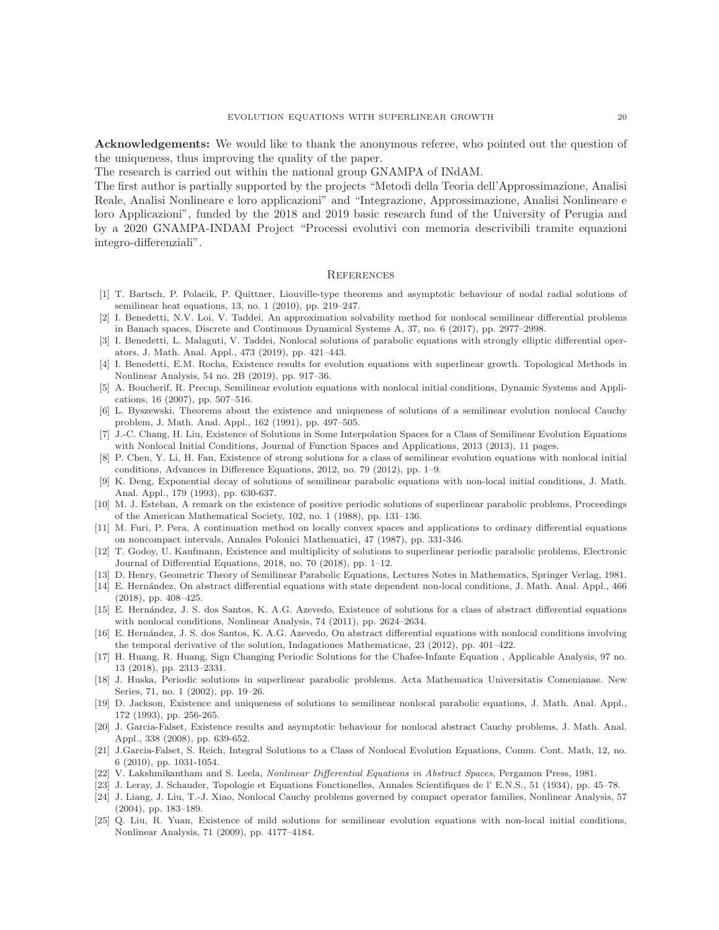Acknowledgements: We would like to thank the anonymous referee, who pointed out the question of the uniqueness, thus improving the quality of the paper.

The research is carried out within the national group GNAMPA of INdAM.

The first author is partially supported by the projects "Metodi della Teoria dell'Approssimazione, Analisi Reale, Analisi Nonlineare e loro applicazioni" and "Integrazione, Approssimazione, Analisi Nonlineare e loro Applicazioni", funded by the 2018 and 2019 basic research fund of the University of Perugia and by a 2020 GNAMPA-INDAM Project "Processi evolutivi con memoria descrivibili tramite equazioni integro-differenziali".

#### **REFERENCES**

- <span id="page-19-11"></span>[1] T. Bartsch, P. Polacik, P. Quittner, Liouville-type theorems and asymptotic behaviour of nodal radial solutions of semilinear heat equations, 13, no. 1 (2010), pp. 219–247.
- <span id="page-19-16"></span>[2] I. Benedetti, N.V. Loi, V. Taddei, An approximation solvability method for nonlocal semilinear differential problems in Banach spaces, Discrete and Continuous Dynamical Systems A, 37, no. 6 (2017), pp. 2977–2998.
- <span id="page-19-20"></span>[3] I. Benedetti, L. Malaguti, V. Taddei, Nonlocal solutions of parabolic equations with strongly elliptic differential operators, J. Math. Anal. Appl., 473 (2019), pp. 421–443.
- <span id="page-19-7"></span>[4] I. Benedetti, E.M. Rocha, Existence results for evolution equations with superlinear growth. Topological Methods in Nonlinear Analysis, 54 no. 2B (2019), pp. 917–36.
- <span id="page-19-5"></span>[5] A. Boucherif, R. Precup, Semilinear evolution equations with nonlocal initial conditions, Dynamic Systems and Applications, 16 (2007), pp. 507–516.
- <span id="page-19-2"></span>[6] L. Byszewski, Theorems about the existence and uniqueness of solutions of a semilinear evolution nonlocal Cauchy problem, J. Math. Anal. Appl., 162 (1991), pp. 497–505.
- <span id="page-19-18"></span>[7] J.-C. Chang, H. Liu, Existence of Solutions in Some Interpolation Spaces for a Class of Semilinear Evolution Equations with Nonlocal Initial Conditions, Journal of Function Spaces and Applications, 2013 (2013), 11 pages.
- <span id="page-19-6"></span>[8] P. Chen, Y. Li, H. Fan, Existence of strong solutions for a class of semilinear evolution equations with nonlocal initial conditions, Advances in Difference Equations, 2012, no. 79 (2012), pp. 1–9.
- <span id="page-19-3"></span>[9] K. Deng, Exponential decay of solutions of semilinear parabolic equations with non-local initial conditions, J. Math. Anal. Appl., 179 (1993), pp. 630-637.
- <span id="page-19-8"></span>[10] M. J. Esteban, A remark on the existence of positive periodic solutions of superlinear parabolic problems, Proceedings of the American Mathematical Society, 102, no. 1 (1988), pp. 131–136.
- <span id="page-19-23"></span>[11] M. Furi, P. Pera, A continuation method on locally convex spaces and applications to ordinary differential equations on noncompact intervals, Annales Polonici Mathematici, 47 (1987), pp. 331-346.
- <span id="page-19-9"></span>[12] T. Godoy, U. Kaufmann, Existence and multiplicity of solutions to superlinear periodic parabolic problems, Electronic Journal of Differential Equations, 2018, no. 70 (2018), pp. 1–12.
- <span id="page-19-15"></span><span id="page-19-0"></span>[13] D. Henry, Geometric Theory of Semilinear Parabolic Equations, Lectures Notes in Mathematics, Springer Verlag, 1981.
- [14] E. Hernández, On abstract differential equations with state dependent non-local conditions, J. Math. Anal. Appl., 466 (2018), pp. 408–425.
- <span id="page-19-19"></span>[15] E. Hernández, J. S. dos Santos, K. A.G. Azevedo, Existence of solutions for a class of abstract differential equations with nonlocal conditions, Nonlinear Analysis, 74 (2011), pp. 2624–2634.
- <span id="page-19-14"></span>[16] E. Hernández, J. S. dos Santos, K. A.G. Azevedo, On abstract differential equations with nonlocal conditions involving the temporal derivative of the solution, Indagationes Mathematicae, 23 (2012), pp. 401–422.
- <span id="page-19-1"></span>[17] H. Huang, R. Huang, Sign Changing Periodic Solutions for the Chafee-Infante Equation , Applicable Analysis, 97 no. 13 (2018), pp. 2313–2331.
- <span id="page-19-10"></span>[18] J. Huska, Periodic solutions in superlinear parabolic problems. Acta Mathematica Universitatis Comenianae. New Series, 71, no. 1 (2002), pp. 19–26.
- <span id="page-19-4"></span>[19] D. Jackson, Existence and uniqueness of solutions to semilinear nonlocal parabolic equations, J. Math. Anal. Appl., 172 (1993), pp. 256-265.
- <span id="page-19-13"></span>[20] J. Garcia-Falset, Existence results and asymptotic behaviour for nonlocal abstract Cauchy problems, J. Math. Anal. Appl., 338 (2008), pp. 639-652.
- <span id="page-19-12"></span>[21] J.Garcia-Falset, S. Reich, Integral Solutions to a Class of Nonlocal Evolution Equations, Comm. Cont. Math, 12, no. 6 (2010), pp. 1031-1054.
- <span id="page-19-24"></span><span id="page-19-22"></span>[22] V. Lakshmikantham and S. Leela, Nonlinear Differential Equations in Abstract Spaces, Pergamon Press, 1981.
- <span id="page-19-17"></span>[23] J. Leray, J. Schauder, Topologie et Equations Fonctionelles, Annales Scientifiques de l' E.N.S., 51 (1934), pp. 45–78.
- [24] J. Liang, J. Liu, T.-J. Xiao, Nonlocal Cauchy problems governed by compact operator families, Nonlinear Analysis, 57 (2004), pp. 183–189.
- <span id="page-19-21"></span>[25] Q. Liu, R. Yuan, Existence of mild solutions for semilinear evolution equations with non-local initial conditions, Nonlinear Analysis, 71 (2009), pp. 4177–4184.